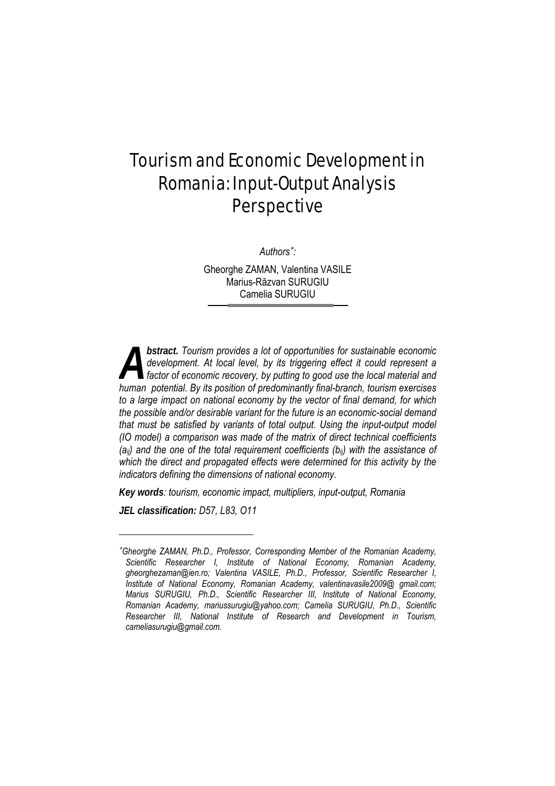# Tourism and Economic Development in Romania: Input-Output Analysis **Perspective**

*Authors*<sup>∗</sup> *:* 

Gheorghe ZAMAN, Valentina VASILE Marius-Răzvan SURUGIU Camelia SURUGIU

*bstract. Tourism provides a lot of opportunities for sustainable economic*  development. At local level, by its triggering effect it could represent a *factor of economic recovery, by putting to good use the local material and*  **human** provides a lot of opportunities for sustainable economic development. At local level, by its triggering effect it could represent a factor of economic recovery, by putting to good use the local material and human p *to a large impact on national economy by the vector of final demand, for which the possible and/or desirable variant for the future is an economic-social demand that must be satisfied by variants of total output. Using the input-output model (IO model) a comparison was made of the matrix of direct technical coefficients (aij) and the one of the total requirement coefficients (bij) with the assistance of which the direct and propagated effects were determined for this activity by the indicators defining the dimensions of national economy.* 

*Key words: tourism, economic impact, multipliers, input-output, Romania* 

*JEL classification: D57, L83, O11* 

l

<sup>∗</sup>*Gheorghe ZAMAN, Ph.D., Professor, Corresponding Member of the Romanian Academy, Scientific Researcher I, Institute of National Economy, Romanian Academy, gheorghezaman@ien.ro; Valentina VASILE, Ph.D., Professor, Scientific Researcher I, Institute of National Economy, Romanian Academy, valentinavasile2009@ gmail.com; Marius SURUGIU, Ph.D., Scientific Researcher III, Institute of National Economy, Romanian Academy, mariussurugiu@yahoo.com; Camelia SURUGIU, Ph.D., Scientific Researcher III, National Institute of Research and Development in Tourism, cameliasurugiu@gmail.com.*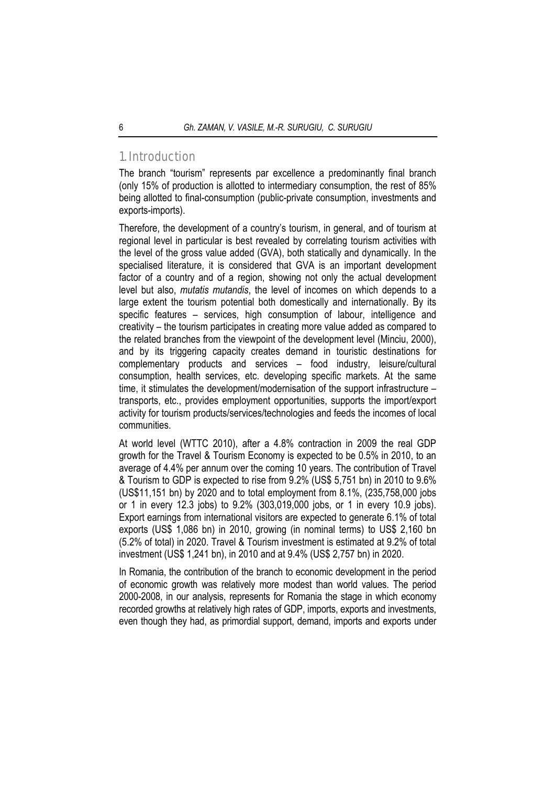## 1. Introduction

The branch "tourism" represents par excellence a predominantly final branch (only 15% of production is allotted to intermediary consumption, the rest of 85% being allotted to final-consumption (public-private consumption, investments and exports-imports).

Therefore, the development of a country's tourism, in general, and of tourism at regional level in particular is best revealed by correlating tourism activities with the level of the gross value added (GVA), both statically and dynamically. In the specialised literature, it is considered that GVA is an important development factor of a country and of a region, showing not only the actual development level but also, *mutatis mutandis*, the level of incomes on which depends to a large extent the tourism potential both domestically and internationally. By its specific features – services, high consumption of labour, intelligence and creativity – the tourism participates in creating more value added as compared to the related branches from the viewpoint of the development level (Minciu, 2000), and by its triggering capacity creates demand in touristic destinations for complementary products and services – food industry, leisure/cultural consumption, health services, etc. developing specific markets. At the same time, it stimulates the development/modernisation of the support infrastructure – transports, etc., provides employment opportunities, supports the import/export activity for tourism products/services/technologies and feeds the incomes of local communities.

At world level (WTTC 2010), after a 4.8% contraction in 2009 the real GDP growth for the Travel & Tourism Economy is expected to be 0.5% in 2010, to an average of 4.4% per annum over the coming 10 years. The contribution of Travel & Tourism to GDP is expected to rise from 9.2% (US\$ 5,751 bn) in 2010 to 9.6% (US\$11,151 bn) by 2020 and to total employment from 8.1%, (235,758,000 jobs or 1 in every 12.3 jobs) to 9.2% (303,019,000 jobs, or 1 in every 10.9 jobs). Export earnings from international visitors are expected to generate 6.1% of total exports (US\$ 1,086 bn) in 2010, growing (in nominal terms) to US\$ 2,160 bn (5.2% of total) in 2020. Travel & Tourism investment is estimated at 9.2% of total investment (US\$ 1,241 bn), in 2010 and at 9.4% (US\$ 2,757 bn) in 2020.

In Romania, the contribution of the branch to economic development in the period of economic growth was relatively more modest than world values. The period 2000-2008, in our analysis, represents for Romania the stage in which economy recorded growths at relatively high rates of GDP, imports, exports and investments, even though they had, as primordial support, demand, imports and exports under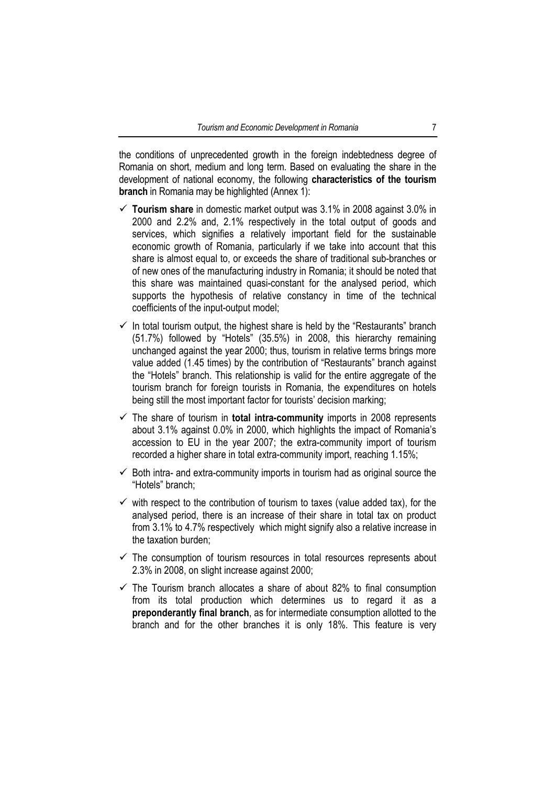the conditions of unprecedented growth in the foreign indebtedness degree of Romania on short, medium and long term. Based on evaluating the share in the development of national economy, the following **characteristics of the tourism branch** in Romania may be highlighted (Annex 1):

- 9 **Tourism share** in domestic market output was 3.1% in 2008 against 3.0% in 2000 and 2.2% and, 2.1% respectively in the total output of goods and services, which signifies a relatively important field for the sustainable economic growth of Romania, particularly if we take into account that this share is almost equal to, or exceeds the share of traditional sub-branches or of new ones of the manufacturing industry in Romania; it should be noted that this share was maintained quasi-constant for the analysed period, which supports the hypothesis of relative constancy in time of the technical coefficients of the input-output model;
- $\checkmark$  In total tourism output, the highest share is held by the "Restaurants" branch (51.7%) followed by "Hotels" (35.5%) in 2008, this hierarchy remaining unchanged against the year 2000; thus, tourism in relative terms brings more value added (1.45 times) by the contribution of "Restaurants" branch against the "Hotels" branch. This relationship is valid for the entire aggregate of the tourism branch for foreign tourists in Romania, the expenditures on hotels being still the most important factor for tourists' decision marking;
- $\checkmark$  The share of tourism in **total intra-community** imports in 2008 represents about 3.1% against 0.0% in 2000, which highlights the impact of Romania's accession to EU in the year 2007; the extra-community import of tourism recorded a higher share in total extra-community import, reaching 1.15%;
- $\checkmark$  Both intra- and extra-community imports in tourism had as original source the "Hotels" branch;
- $\checkmark$  with respect to the contribution of tourism to taxes (value added tax), for the analysed period, there is an increase of their share in total tax on product from 3.1% to 4.7% respectively which might signify also a relative increase in the taxation burden;
- $\checkmark$  The consumption of tourism resources in total resources represents about 2.3% in 2008, on slight increase against 2000;
- $\checkmark$  The Tourism branch allocates a share of about 82% to final consumption from its total production which determines us to regard it as a **preponderantly final branch**, as for intermediate consumption allotted to the branch and for the other branches it is only 18%. This feature is very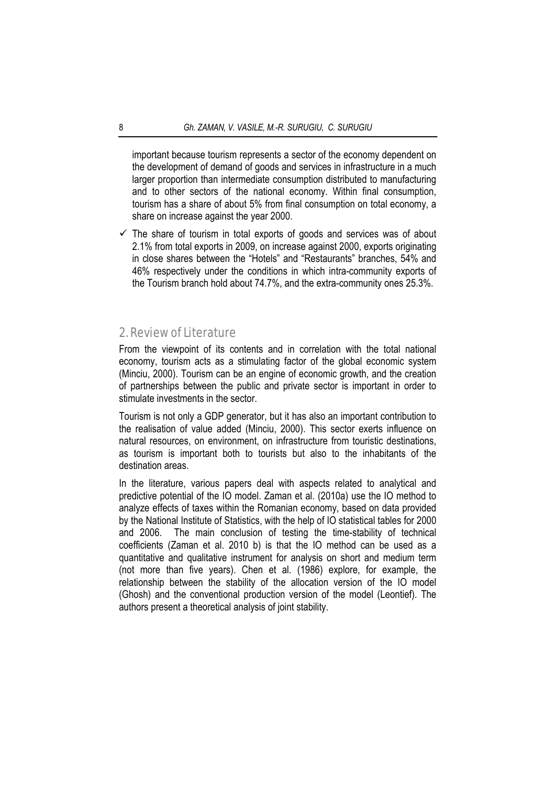important because tourism represents a sector of the economy dependent on the development of demand of goods and services in infrastructure in a much larger proportion than intermediate consumption distributed to manufacturing and to other sectors of the national economy. Within final consumption, tourism has a share of about 5% from final consumption on total economy, a share on increase against the year 2000.

 $\checkmark$  The share of tourism in total exports of goods and services was of about 2.1% from total exports in 2009, on increase against 2000, exports originating in close shares between the "Hotels" and "Restaurants" branches, 54% and 46% respectively under the conditions in which intra-community exports of the Tourism branch hold about 74.7%, and the extra-community ones 25.3%.

## 2. Review of Literature

From the viewpoint of its contents and in correlation with the total national economy, tourism acts as a stimulating factor of the global economic system (Minciu, 2000). Tourism can be an engine of economic growth, and the creation of partnerships between the public and private sector is important in order to stimulate investments in the sector.

Tourism is not only a GDP generator, but it has also an important contribution to the realisation of value added (Minciu, 2000). This sector exerts influence on natural resources, on environment, on infrastructure from touristic destinations, as tourism is important both to tourists but also to the inhabitants of the destination areas.

In the literature, various papers deal with aspects related to analytical and predictive potential of the IO model. Zaman et al. (2010a) use the IO method to analyze effects of taxes within the Romanian economy, based on data provided by the National Institute of Statistics, with the help of IO statistical tables for 2000 and 2006. The main conclusion of testing the time-stability of technical coefficients (Zaman et al. 2010 b) is that the IO method can be used as a quantitative and qualitative instrument for analysis on short and medium term (not more than five years). Chen et al. (1986) explore, for example, the relationship between the stability of the allocation version of the IO model (Ghosh) and the conventional production version of the model (Leontief). The authors present a theoretical analysis of joint stability.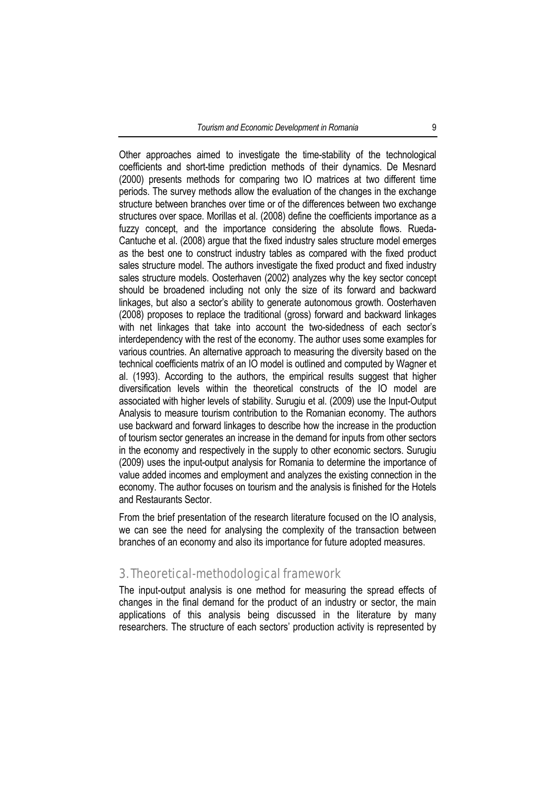Other approaches aimed to investigate the time-stability of the technological coefficients and short-time prediction methods of their dynamics. De Mesnard (2000) presents methods for comparing two IO matrices at two different time periods. The survey methods allow the evaluation of the changes in the exchange structure between branches over time or of the differences between two exchange structures over space. Morillas et al. (2008) define the coefficients importance as a fuzzy concept, and the importance considering the absolute flows. Rueda-Cantuche et al. (2008) argue that the fixed industry sales structure model emerges as the best one to construct industry tables as compared with the fixed product sales structure model. The authors investigate the fixed product and fixed industry sales structure models. Oosterhaven (2002) analyzes why the key sector concept should be broadened including not only the size of its forward and backward linkages, but also a sector's ability to generate autonomous growth. Oosterhaven (2008) proposes to replace the traditional (gross) forward and backward linkages with net linkages that take into account the two-sidedness of each sector's interdependency with the rest of the economy. The author uses some examples for various countries. An alternative approach to measuring the diversity based on the technical coefficients matrix of an IO model is outlined and computed by Wagner et al. (1993). According to the authors, the empirical results suggest that higher diversification levels within the theoretical constructs of the IO model are associated with higher levels of stability. Surugiu et al. (2009) use the Input-Output Analysis to measure tourism contribution to the Romanian economy. The authors use backward and forward linkages to describe how the increase in the production of tourism sector generates an increase in the demand for inputs from other sectors in the economy and respectively in the supply to other economic sectors. Surugiu (2009) uses the input-output analysis for Romania to determine the importance of value added incomes and employment and analyzes the existing connection in the economy. The author focuses on tourism and the analysis is finished for the Hotels and Restaurants Sector.

From the brief presentation of the research literature focused on the IO analysis, we can see the need for analysing the complexity of the transaction between branches of an economy and also its importance for future adopted measures.

## 3. Theoretical-methodological framework

The input-output analysis is one method for measuring the spread effects of changes in the final demand for the product of an industry or sector, the main applications of this analysis being discussed in the literature by many researchers. The structure of each sectors' production activity is represented by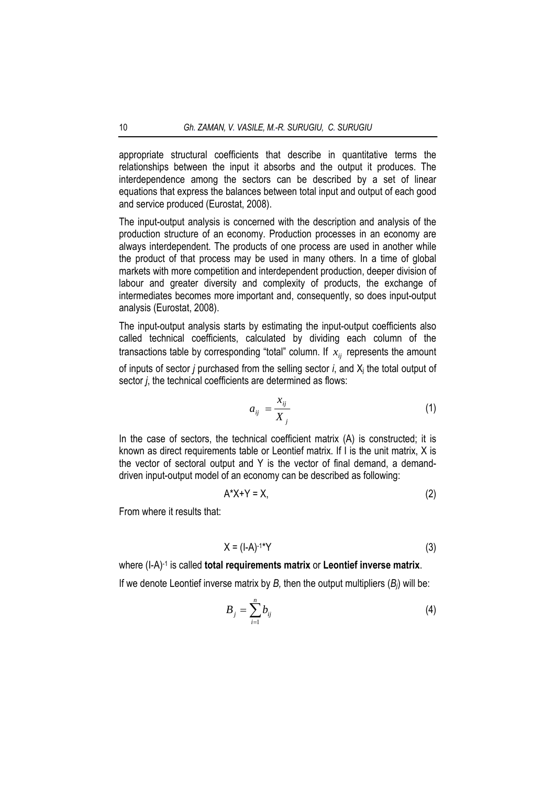appropriate structural coefficients that describe in quantitative terms the relationships between the input it absorbs and the output it produces. The interdependence among the sectors can be described by a set of linear equations that express the balances between total input and output of each good and service produced (Eurostat, 2008).

The input-output analysis is concerned with the description and analysis of the production structure of an economy. Production processes in an economy are always interdependent. The products of one process are used in another while the product of that process may be used in many others. In a time of global markets with more competition and interdependent production, deeper division of labour and greater diversity and complexity of products, the exchange of intermediates becomes more important and, consequently, so does input-output analysis (Eurostat, 2008).

The input-output analysis starts by estimating the input-output coefficients also called technical coefficients, calculated by dividing each column of the transactions table by corresponding "total" column. If  $x<sub>ii</sub>$  represents the amount

of inputs of sector *j* purchased from the selling sector *i*, and Xj the total output of sector *j*, the technical coefficients are determined as flows:

$$
a_{ij} = \frac{x_{ij}}{X_j} \tag{1}
$$

In the case of sectors, the technical coefficient matrix (A) is constructed; it is known as direct requirements table or Leontief matrix. If I is the unit matrix, X is the vector of sectoral output and Y is the vector of final demand, a demanddriven input-output model of an economy can be described as following:

$$
A^*X+Y=X,\tag{2}
$$

From where it results that:

$$
X = (I-A)^{-1*}Y
$$
 (3)

where (I-A)-1 is called **total requirements matrix** or **Leontief inverse matrix**. If we denote Leontief inverse matrix by *B,* then the output multipliers (*Bj*) will be:

$$
B_j = \sum_{i=1}^n b_{ij} \tag{4}
$$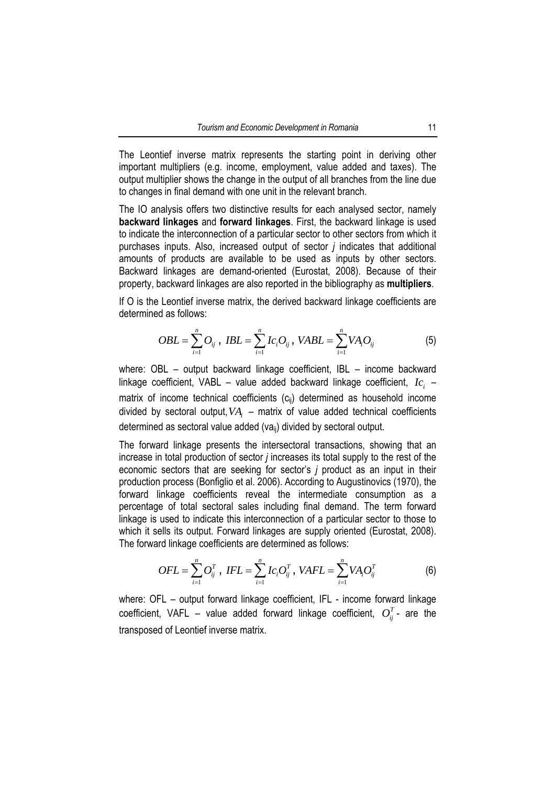The Leontief inverse matrix represents the starting point in deriving other important multipliers (e.g. income, employment, value added and taxes). The output multiplier shows the change in the output of all branches from the line due to changes in final demand with one unit in the relevant branch.

The IO analysis offers two distinctive results for each analysed sector, namely **backward linkages** and **forward linkages**. First, the backward linkage is used to indicate the interconnection of a particular sector to other sectors from which it purchases inputs. Also, increased output of sector *j* indicates that additional amounts of products are available to be used as inputs by other sectors. Backward linkages are demand-oriented (Eurostat, 2008). Because of their property, backward linkages are also reported in the bibliography as **multipliers**.

If O is the Leontief inverse matrix, the derived backward linkage coefficients are determined as follows:

$$
OBL = \sum_{i=1}^{n} O_{ij} , IBL = \sum_{i=1}^{n} Ic_{i}O_{ij} , VABL = \sum_{i=1}^{n} VA_{i}O_{ij}
$$
 (5)

where: OBL – output backward linkage coefficient, IBL – income backward linkage coefficient, VABL – value added backward linkage coefficient,  $I_{C_i}$  – matrix of income technical coefficients  $(c_{ii})$  determined as household income divided by sectoral output, VA<sub>i</sub> – matrix of value added technical coefficients determined as sectoral value added (vaij) divided by sectoral output.

The forward linkage presents the intersectoral transactions, showing that an increase in total production of sector *j* increases its total supply to the rest of the economic sectors that are seeking for sector's *j* product as an input in their production process (Bonfiglio et al. 2006). According to Augustinovics (1970), the forward linkage coefficients reveal the intermediate consumption as a percentage of total sectoral sales including final demand. The term forward linkage is used to indicate this interconnection of a particular sector to those to which it sells its output. Forward linkages are supply oriented (Eurostat, 2008). The forward linkage coefficients are determined as follows:

$$
OFL = \sum_{i=1}^{n} O_{ij}^{T}, \ IFL = \sum_{i=1}^{n} Ic_{i}O_{ij}^{T}, \ VAFL = \sum_{i=1}^{n} VA_{i}O_{ij}^{T}
$$
(6)

where: OFL – output forward linkage coefficient, IFL - income forward linkage coefficient, VAFL – value added forward linkage coefficient,  $O_{ij}^T$ - are the transposed of Leontief inverse matrix.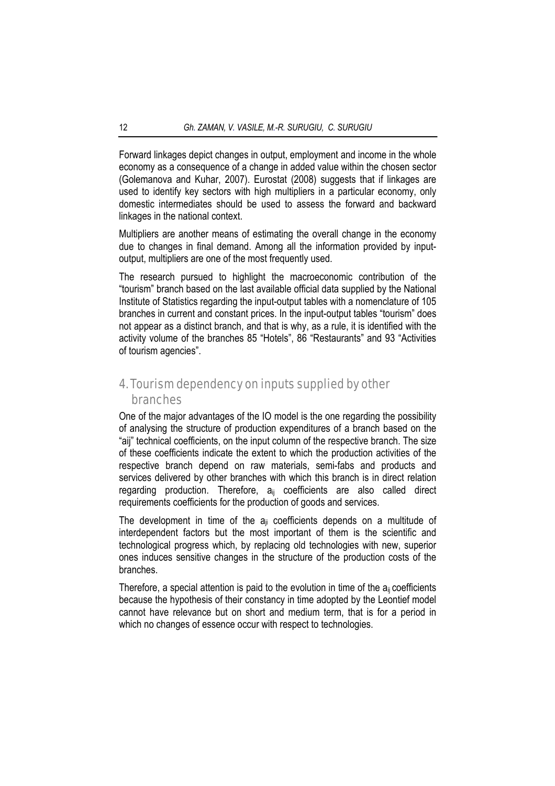Forward linkages depict changes in output, employment and income in the whole economy as a consequence of a change in added value within the chosen sector (Golemanova and Kuhar, 2007). Eurostat (2008) suggests that if linkages are used to identify key sectors with high multipliers in a particular economy, only domestic intermediates should be used to assess the forward and backward linkages in the national context.

Multipliers are another means of estimating the overall change in the economy due to changes in final demand. Among all the information provided by inputoutput, multipliers are one of the most frequently used.

The research pursued to highlight the macroeconomic contribution of the "tourism" branch based on the last available official data supplied by the National Institute of Statistics regarding the input-output tables with a nomenclature of 105 branches in current and constant prices. In the input-output tables "tourism" does not appear as a distinct branch, and that is why, as a rule, it is identified with the activity volume of the branches 85 "Hotels", 86 "Restaurants" and 93 "Activities of tourism agencies".

## 4. Tourism dependency on inputs supplied by other branches

One of the major advantages of the IO model is the one regarding the possibility of analysing the structure of production expenditures of a branch based on the "aij" technical coefficients, on the input column of the respective branch. The size of these coefficients indicate the extent to which the production activities of the respective branch depend on raw materials, semi-fabs and products and services delivered by other branches with which this branch is in direct relation regarding production. Therefore, a<sub>ij</sub> coefficients are also called direct requirements coefficients for the production of goods and services.

The development in time of the  $a_{ii}$  coefficients depends on a multitude of interdependent factors but the most important of them is the scientific and technological progress which, by replacing old technologies with new, superior ones induces sensitive changes in the structure of the production costs of the branches.

Therefore, a special attention is paid to the evolution in time of the  $a_{ii}$  coefficients because the hypothesis of their constancy in time adopted by the Leontief model cannot have relevance but on short and medium term, that is for a period in which no changes of essence occur with respect to technologies.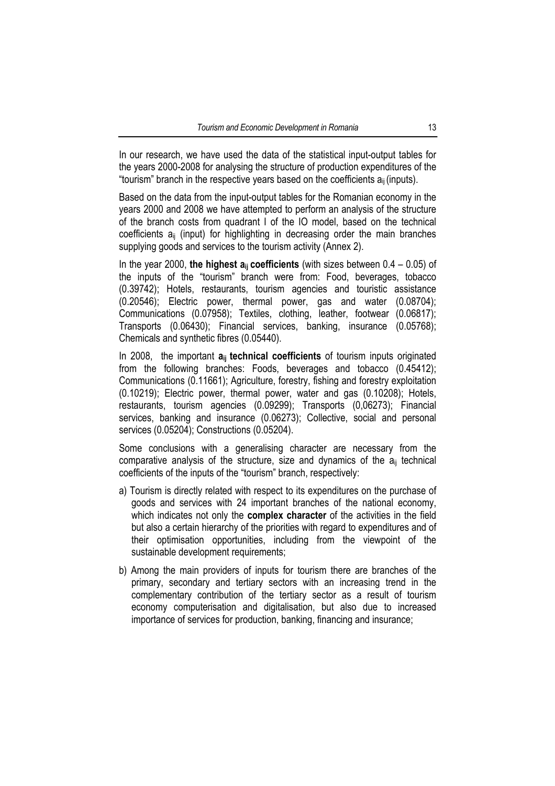In our research, we have used the data of the statistical input-output tables for the years 2000-2008 for analysing the structure of production expenditures of the "tourism" branch in the respective years based on the coefficients  $a_{ii}$  (inputs).

Based on the data from the input-output tables for the Romanian economy in the years 2000 and 2008 we have attempted to perform an analysis of the structure of the branch costs from quadrant I of the IO model, based on the technical coefficients aij (input) for highlighting in decreasing order the main branches supplying goods and services to the tourism activity (Annex 2).

In the year 2000, **the highest aij coefficients** (with sizes between 0.4 – 0.05) of the inputs of the "tourism" branch were from: Food, beverages, tobacco (0.39742); Hotels, restaurants, tourism agencies and touristic assistance (0.20546); Electric power, thermal power, gas and water (0.08704); Communications (0.07958); Textiles, clothing, leather, footwear (0.06817); Transports (0.06430); Financial services, banking, insurance (0.05768); Chemicals and synthetic fibres (0.05440).

In 2008, the important  $a_{ii}$  technical coefficients of tourism inputs originated from the following branches: Foods, beverages and tobacco (0.45412); Communications (0.11661); Agriculture, forestry, fishing and forestry exploitation (0.10219); Electric power, thermal power, water and gas (0.10208); Hotels, restaurants, tourism agencies (0.09299); Transports (0,06273); Financial services, banking and insurance (0.06273); Collective, social and personal services (0.05204); Constructions (0.05204).

Some conclusions with a generalising character are necessary from the comparative analysis of the structure, size and dynamics of the  $a_{ii}$  technical coefficients of the inputs of the "tourism" branch, respectively:

- a) Tourism is directly related with respect to its expenditures on the purchase of goods and services with 24 important branches of the national economy, which indicates not only the **complex character** of the activities in the field but also a certain hierarchy of the priorities with regard to expenditures and of their optimisation opportunities, including from the viewpoint of the sustainable development requirements;
- b) Among the main providers of inputs for tourism there are branches of the primary, secondary and tertiary sectors with an increasing trend in the complementary contribution of the tertiary sector as a result of tourism economy computerisation and digitalisation, but also due to increased importance of services for production, banking, financing and insurance;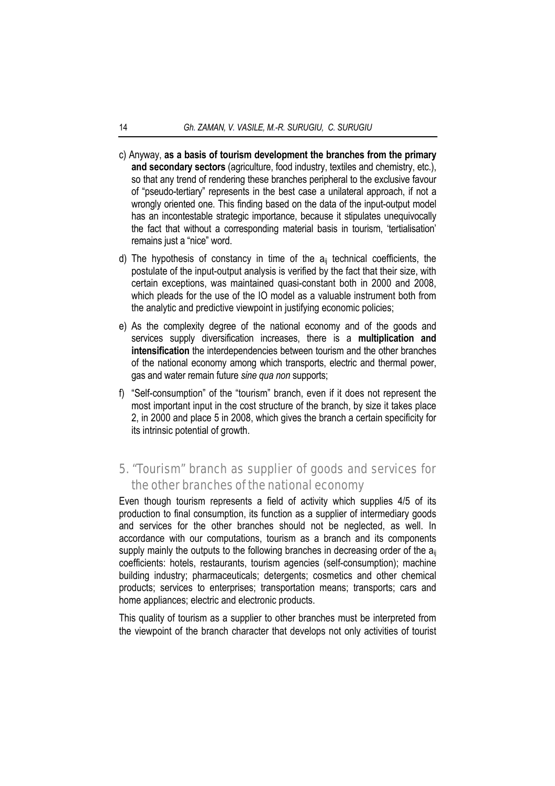- c) Anyway, **as a basis of tourism development the branches from the primary and secondary sectors** (agriculture, food industry, textiles and chemistry, etc.), so that any trend of rendering these branches peripheral to the exclusive favour of "pseudo-tertiary" represents in the best case a unilateral approach, if not a wrongly oriented one. This finding based on the data of the input-output model has an incontestable strategic importance, because it stipulates unequivocally the fact that without a corresponding material basis in tourism, 'tertialisation' remains just a "nice" word.
- d) The hypothesis of constancy in time of the  $a_{ii}$  technical coefficients, the postulate of the input-output analysis is verified by the fact that their size, with certain exceptions, was maintained quasi-constant both in 2000 and 2008, which pleads for the use of the IO model as a valuable instrument both from the analytic and predictive viewpoint in justifying economic policies;
- e) As the complexity degree of the national economy and of the goods and services supply diversification increases, there is a **multiplication and intensification** the interdependencies between tourism and the other branches of the national economy among which transports, electric and thermal power, gas and water remain future *sine qua non* supports;
- f) "Self-consumption" of the "tourism" branch, even if it does not represent the most important input in the cost structure of the branch, by size it takes place 2, in 2000 and place 5 in 2008, which gives the branch a certain specificity for its intrinsic potential of growth.

## 5. "Tourism" branch as supplier of goods and services for the other branches of the national economy

Even though tourism represents a field of activity which supplies 4/5 of its production to final consumption, its function as a supplier of intermediary goods and services for the other branches should not be neglected, as well. In accordance with our computations, tourism as a branch and its components supply mainly the outputs to the following branches in decreasing order of the  $a_{ii}$ coefficients: hotels, restaurants, tourism agencies (self-consumption); machine building industry; pharmaceuticals; detergents; cosmetics and other chemical products; services to enterprises; transportation means; transports; cars and home appliances; electric and electronic products.

This quality of tourism as a supplier to other branches must be interpreted from the viewpoint of the branch character that develops not only activities of tourist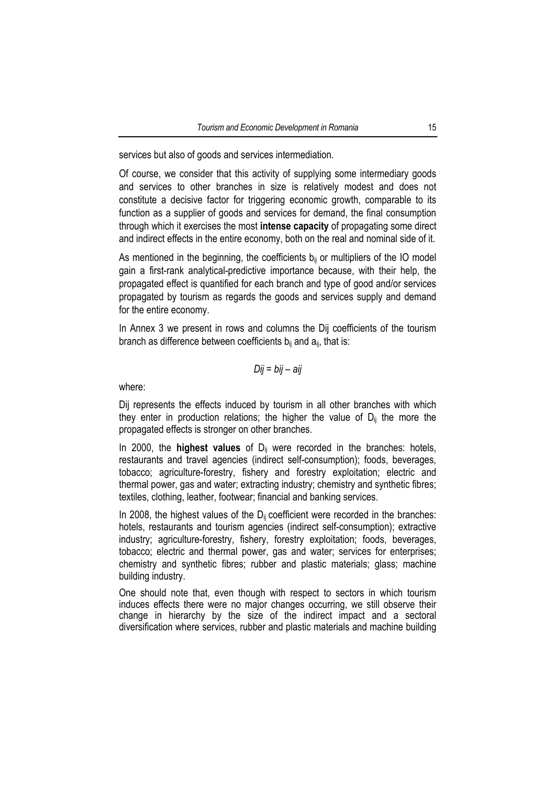services but also of goods and services intermediation.

Of course, we consider that this activity of supplying some intermediary goods and services to other branches in size is relatively modest and does not constitute a decisive factor for triggering economic growth, comparable to its function as a supplier of goods and services for demand, the final consumption through which it exercises the most **intense capacity** of propagating some direct and indirect effects in the entire economy, both on the real and nominal side of it.

As mentioned in the beginning, the coefficients  $b_{ij}$  or multipliers of the IO model gain a first-rank analytical-predictive importance because, with their help, the propagated effect is quantified for each branch and type of good and/or services propagated by tourism as regards the goods and services supply and demand for the entire economy.

In Annex 3 we present in rows and columns the Dij coefficients of the tourism branch as difference between coefficients  $b_{ii}$  and  $a_{ii}$ , that is:

$$
Dij = bij - aij
$$

where:

Dij represents the effects induced by tourism in all other branches with which they enter in production relations; the higher the value of  $D_{ii}$  the more the propagated effects is stronger on other branches.

In 2000, the **highest values** of D<sub>ij</sub> were recorded in the branches: hotels, restaurants and travel agencies (indirect self-consumption); foods, beverages, tobacco; agriculture-forestry, fishery and forestry exploitation; electric and thermal power, gas and water; extracting industry; chemistry and synthetic fibres; textiles, clothing, leather, footwear; financial and banking services.

In 2008, the highest values of the  $D_{ii}$  coefficient were recorded in the branches: hotels, restaurants and tourism agencies (indirect self-consumption); extractive industry; agriculture-forestry, fishery, forestry exploitation; foods, beverages, tobacco; electric and thermal power, gas and water; services for enterprises; chemistry and synthetic fibres; rubber and plastic materials; glass; machine building industry.

One should note that, even though with respect to sectors in which tourism induces effects there were no major changes occurring, we still observe their change in hierarchy by the size of the indirect impact and a sectoral diversification where services, rubber and plastic materials and machine building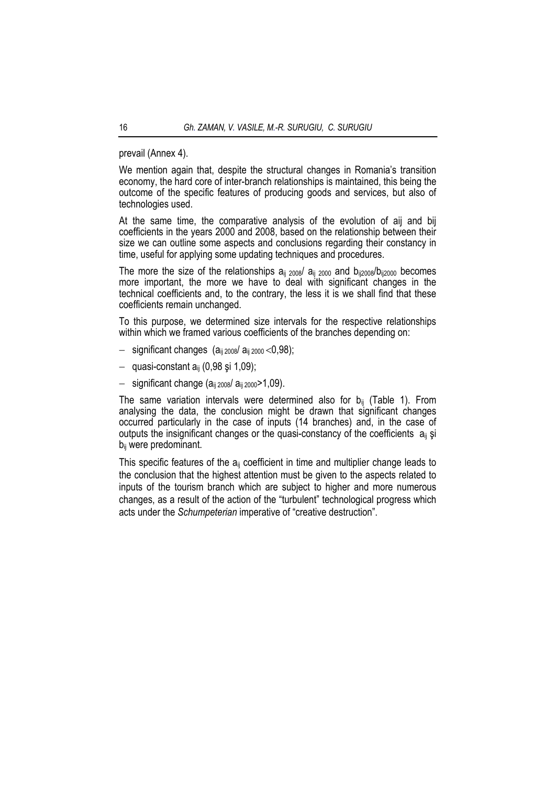prevail (Annex 4).

We mention again that, despite the structural changes in Romania's transition economy, the hard core of inter-branch relationships is maintained, this being the outcome of the specific features of producing goods and services, but also of technologies used.

At the same time, the comparative analysis of the evolution of aij and bij coefficients in the years 2000 and 2008, based on the relationship between their size we can outline some aspects and conclusions regarding their constancy in time, useful for applying some updating techniques and procedures.

The more the size of the relationships  $a_{ii}$   $_{2008}$   $a_{ii}$   $_{2000}$  and  $b_{ii2008}$   $b_{ii2000}$  becomes more important, the more we have to deal with significant changes in the technical coefficients and, to the contrary, the less it is we shall find that these coefficients remain unchanged.

To this purpose, we determined size intervals for the respective relationships within which we framed various coefficients of the branches depending on:

- $-$  significant changes ( $a_{ii\ 2008}/a_{ii\ 2000}$  < 0,98);
- − quasi-constant aij (0,98 şi 1,09);
- − significant change (aij 2008/ aij 2000>1,09).

The same variation intervals were determined also for  $b_{ii}$  (Table 1). From analysing the data, the conclusion might be drawn that significant changes occurred particularly in the case of inputs (14 branches) and, in the case of outputs the insignificant changes or the quasi-constancy of the coefficients  $a_{ij}$  si bij were predominant.

This specific features of the  $a_{ii}$  coefficient in time and multiplier change leads to the conclusion that the highest attention must be given to the aspects related to inputs of the tourism branch which are subject to higher and more numerous changes, as a result of the action of the "turbulent" technological progress which acts under the *Schumpeterian* imperative of "creative destruction".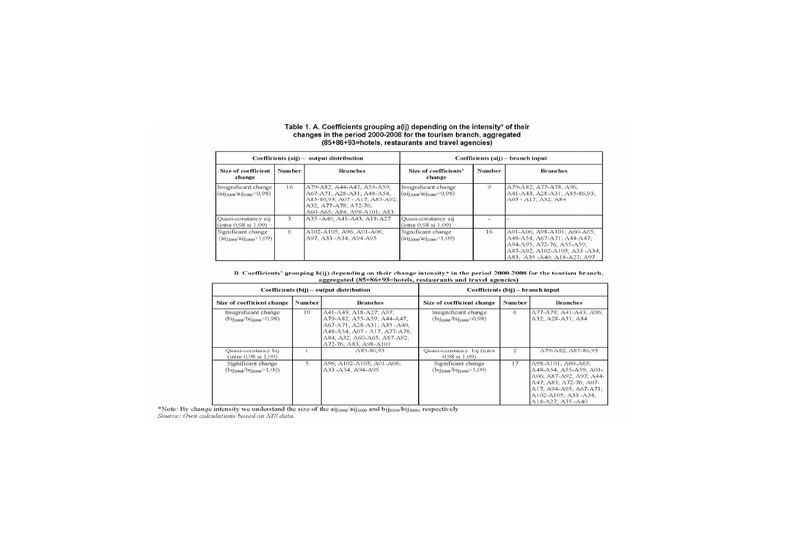## Table 1. A. Coefficients grouping a(ij) depending on the intensity\* of their<br>changes in the period 2000-2008 for the tourism branch, aggregated 85+86+93=hotels, restaurants and travel agencies)

|                                                        |               | Coefficients (aij) - output distribution                                                                                                           | Coefficients (aij) – branch input                             |               |                                                                                                                                                        |  |  |
|--------------------------------------------------------|---------------|----------------------------------------------------------------------------------------------------------------------------------------------------|---------------------------------------------------------------|---------------|--------------------------------------------------------------------------------------------------------------------------------------------------------|--|--|
| <b>Size of coefficient</b><br>change                   | <b>Number</b> | <b>Branches</b>                                                                                                                                    | Size of coefficients'<br>change                               | <b>Number</b> | <b>Branches</b>                                                                                                                                        |  |  |
| Insignificant change<br>$(aii2008/ai12000<0.98)$       | 16.           | A79-A82: A44-A47: A55-A59:<br>A67-A71; A28-A31; A48-A54;<br>A85-86,93, A07 - A17, A87-A92,<br>A32; A77-A78; A72-76;<br>A60-A65; A84; A98-A101; A83 | Insignificant change<br>$(aii2008/ai12000<0,98)$              | 9             | A79-A82; A77-A78; A96;<br>A41-A43: A28-A31: A85-86.93:<br>A07 - A17, A32, A84                                                                          |  |  |
| Quasi-constancy aij<br>(intre 0.98 si 1.09)            | 3             | A35 - A40; A41 - A43; A18 - A27                                                                                                                    | Quasi-constancy aij<br>(intre 0.98 si 1.09)                   |               |                                                                                                                                                        |  |  |
| Significant change<br>$(aii)_{2008}/ai)_{2000} > 1,09$ | 6             | A102-A105; A96; A01-A06;<br>A97: A33 -A34: A94-A95                                                                                                 | Significant change<br>$(a_{1j_{2008}}/ai_{1j_{2000}} > 1,09)$ | 16            | A01-A06; A98-A101; A60-A65;<br>A48-A54: A67-A71: A44-A47:<br>A94-A95: A72-76: A55-A59:<br>A87-A92; A102-A105; A33-A34;<br>A83; A35 - A40; A18-A27; A97 |  |  |

B. Coefficients' grouping b(ij) depending on their change intensity\* in the period 2000-2008 for the tourism branch, aggregated (85+86+93=hotels, restaurants and travel agencies)

|                                                                                     |                           | Coefficients (bij) – output distribution                                                                                                                                   | Coefficients (bij) – branch input                                |                |                                                                                                                                                                                  |  |  |
|-------------------------------------------------------------------------------------|---------------------------|----------------------------------------------------------------------------------------------------------------------------------------------------------------------------|------------------------------------------------------------------|----------------|----------------------------------------------------------------------------------------------------------------------------------------------------------------------------------|--|--|
| Size of coefficient change                                                          | Number<br><b>Branches</b> |                                                                                                                                                                            | Size of coefficient change                                       | <b>Number</b>  | <b>Branches</b>                                                                                                                                                                  |  |  |
| Insignificant change<br>$(bii)_{2008}/bii$ <sub>2000</sub> <0,98)                   | 19                        | A41-A43; A18-A27; A97;<br>A79-A82; A55-A59; A44-A47;<br>A67-A71: A28-A31: A35-A40:<br>A48-A54; A07 - A17; A77-A78;<br>A84: A32: A60-A65: A87-A92:<br>A72-76; A83; A98-A101 | Insignificant change<br>$(bii2008/bi2000<0,98)$                  | 6              | A77-A78: A41-A43: A96:<br>A32; A28-A31; A84                                                                                                                                      |  |  |
| Quasi-constancy bij<br>(intre $0.98 \text{ si } 1.09$ )                             |                           | A85-86.93                                                                                                                                                                  | Quasi-constancy bij (intre<br>$0.98 \text{ si } 1.09$            | $\mathfrak{D}$ | A79-A82: A85-86.93                                                                                                                                                               |  |  |
| Significant change<br>$\langle \text{bij}_{2008}/\text{bij}_{2000} \rangle$ = 1,09) | 5.                        | A96; A102-A105; A01-A06;<br>A33-A34: A94-A95                                                                                                                               | Significant change<br>$(bii)_{2008}/bii$ <sub>2000</sub> $>1,09$ | 17             | A98-A101: A60-A65:<br>A48-A54: A55-A59: A01-<br>A06, A87-A92; A97; A44-<br>A47; A83; A72-76; A07-<br>A17: A94-A95: A67-A71:<br>A102-A105: A33 -A34:<br>$A18-A27 \cdot A35 - A40$ |  |  |

\*Note: By change intensity we understand the size of the aij<sub>2008</sub>/aij<sub>2000</sub> and bij<sub>2008</sub>/bij<sub>2000</sub>, respectively<br>Source: Own calculations based on NIS data.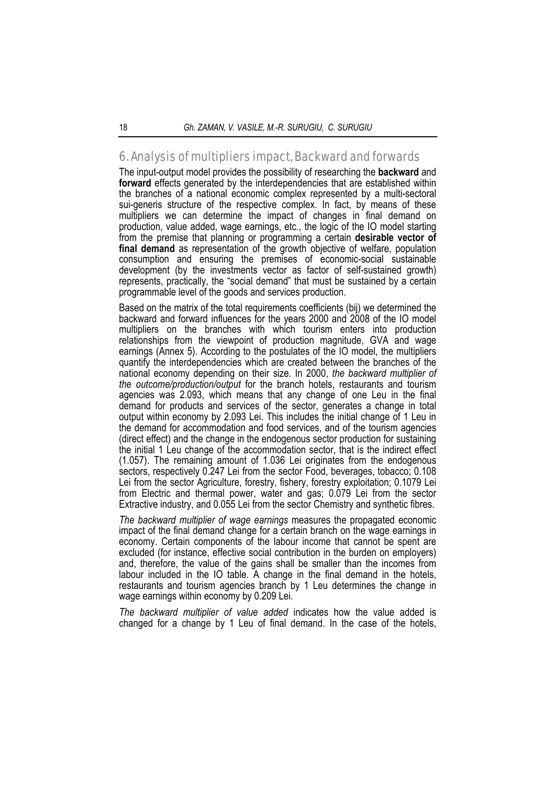## 6. Analysis of multipliers impact, Backward and forwards

The input-output model provides the possibility of researching the **backward** and **forward** effects generated by the interdependencies that are established within the branches of a national economic complex represented by a multi-sectoral sui-generis structure of the respective complex. In fact, by means of these multipliers we can determine the impact of changes in final demand on production, value added, wage earnings, etc., the logic of the IO model starting from the premise that planning or programming a certain **desirable vector of final demand** as representation of the growth objective of welfare, population consumption and ensuring the premises of economic-social sustainable development (by the investments vector as factor of self-sustained growth) represents, practically, the "social demand" that must be sustained by a certain programmable level of the goods and services production.

Based on the matrix of the total requirements coefficients (bij) we determined the backward and forward influences for the years 2000 and 2008 of the IO model multipliers on the branches with which tourism enters into production relationships from the viewpoint of production magnitude, GVA and wage earnings (Annex 5). According to the postulates of the IO model, the multipliers quantify the interdependencies which are created between the branches of the national economy depending on their size. In 2000, *the backward multiplier of the outcome/production/output* for the branch hotels, restaurants and tourism agencies was 2.093, which means that any change of one Leu in the final demand for products and services of the sector, generates a change in total output within economy by 2.093 Lei. This includes the initial change of 1 Leu in the demand for accommodation and food services, and of the tourism agencies (direct effect) and the change in the endogenous sector production for sustaining the initial 1 Leu change of the accommodation sector, that is the indirect effect (1.057). The remaining amount of 1.036 Lei originates from the endogenous sectors, respectively 0.247 Lei from the sector Food, beverages, tobacco; 0.108 Lei from the sector Agriculture, forestry, fishery, forestry exploitation; 0.1079 Lei from Electric and thermal power, water and gas; 0.079 Lei from the sector Extractive industry, and 0.055 Lei from the sector Chemistry and synthetic fibres.

*The backward multiplier of wage earnings* measures the propagated economic impact of the final demand change for a certain branch on the wage earnings in economy. Certain components of the labour income that cannot be spent are excluded (for instance, effective social contribution in the burden on employers) and, therefore, the value of the gains shall be smaller than the incomes from labour included in the IO table. A change in the final demand in the hotels, restaurants and tourism agencies branch by 1 Leu determines the change in wage earnings within economy by 0.209 Lei.

*The backward multiplier of value added* indicates how the value added is changed for a change by 1 Leu of final demand. In the case of the hotels,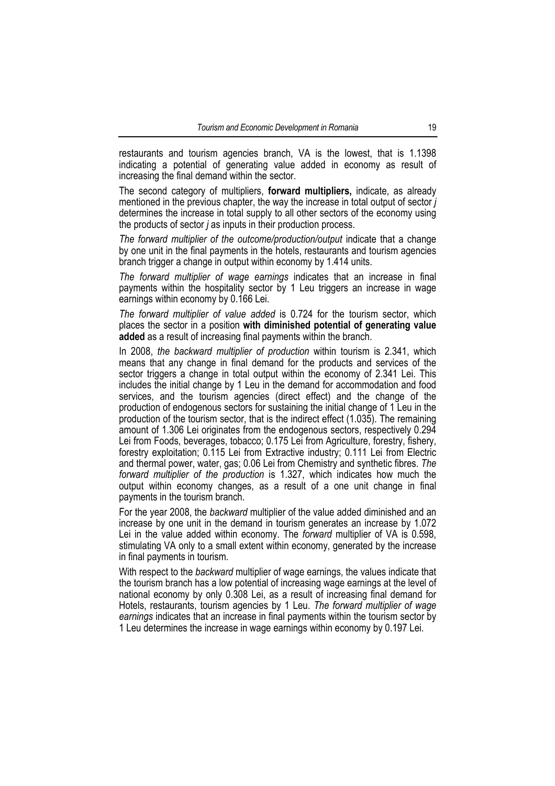restaurants and tourism agencies branch, VA is the lowest, that is 1.1398 indicating a potential of generating value added in economy as result of increasing the final demand within the sector.

The second category of multipliers, **forward multipliers,** indicate, as already mentioned in the previous chapter, the way the increase in total output of sector *j* determines the increase in total supply to all other sectors of the economy using the products of sector *j* as inputs in their production process.

*The forward multiplier of the outcome/production/output* indicate that a change by one unit in the final payments in the hotels, restaurants and tourism agencies branch trigger a change in output within economy by 1.414 units.

*The forward multiplier of wage earnings* indicates that an increase in final payments within the hospitality sector by 1 Leu triggers an increase in wage earnings within economy by 0.166 Lei.

*The forward multiplier of value added* is 0.724 for the tourism sector, which places the sector in a position **with diminished potential of generating value added** as a result of increasing final payments within the branch.

In 2008, *the backward multiplier of production* within tourism is 2.341, which means that any change in final demand for the products and services of the sector triggers a change in total output within the economy of 2.341 Lei. This includes the initial change by 1 Leu in the demand for accommodation and food services, and the tourism agencies (direct effect) and the change of the production of endogenous sectors for sustaining the initial change of 1 Leu in the production of the tourism sector, that is the indirect effect (1.035). The remaining amount of 1.306 Lei originates from the endogenous sectors, respectively 0.294 Lei from Foods, beverages, tobacco; 0.175 Lei from Agriculture, forestry, fishery, forestry exploitation; 0.115 Lei from Extractive industry; 0.111 Lei from Electric and thermal power, water, gas; 0.06 Lei from Chemistry and synthetic fibres. *The forward multiplier of the production* is 1.327, which indicates how much the output within economy changes, as a result of a one unit change in final payments in the tourism branch.

For the year 2008, the *backward* multiplier of the value added diminished and an increase by one unit in the demand in tourism generates an increase by 1.072 Lei in the value added within economy. The *forward* multiplier of VA is 0.598, stimulating VA only to a small extent within economy, generated by the increase in final payments in tourism.

With respect to the *backward* multiplier of wage earnings, the values indicate that the tourism branch has a low potential of increasing wage earnings at the level of national economy by only 0.308 Lei, as a result of increasing final demand for Hotels, restaurants, tourism agencies by 1 Leu. *The forward multiplier of wage earnings* indicates that an increase in final payments within the tourism sector by 1 Leu determines the increase in wage earnings within economy by 0.197 Lei.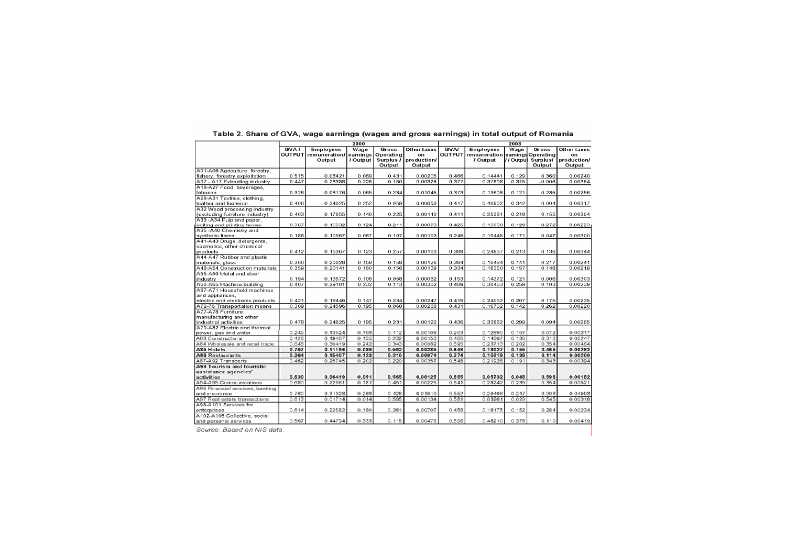|                                                  |       |                               | 2000     |           |                    |                |                                        | 2008  |                   |             |
|--------------------------------------------------|-------|-------------------------------|----------|-----------|--------------------|----------------|----------------------------------------|-------|-------------------|-------------|
|                                                  | GVA   | <b>Employees</b>              | Wage     | Gross     | Other taxes        | <b>GVA/</b>    | <b>Employees</b>                       | Wage  | Gross             | Other taxes |
|                                                  |       | OUTPUT remuneration/ earnings |          | Operating | on                 |                | OUTPUT remuneration earnings Operating |       |                   | on          |
|                                                  |       | Output                        | / Output | Surplus / | production/        |                | / Output                               |       | //Output Surplus/ | production/ |
|                                                  |       |                               |          | Output    | Output             |                |                                        |       | Output            | Output      |
| A01-A06 Agriculture, forestry,                   |       |                               |          |           |                    |                |                                        |       |                   |             |
| fishery, forestry exploitation                   | 0.515 | 0.08421                       | 0.069    | 0.431     | 0.00205            | 0.466          | 0.14441                                | 0.129 | 0.360             | 0.00240     |
| A07 - A17 Extracting industry                    | 0.447 | 0.28388                       | 0.226    | 0.160     | 0.00326            | 0.377          | 0.37898                                | 0.315 | $-0.006$          | 0.00364     |
| A18-A27 Food, beverages,                         |       |                               |          |           |                    |                |                                        |       |                   |             |
| tobacco                                          | 0.326 | 0.08176                       | 0.065    | 0.234     | 0.01045            | 0.373          | 0.13608                                | 0.121 | 0.235             | 0.00256     |
| A28-A31 Textiles, clothing,                      |       |                               |          |           |                    |                |                                        |       |                   |             |
| leather and footwear                             | 0.406 | 0.34025                       | 0.252    | 0.059     | 0.00650            | 0.417          | 0.40902                                | 0.342 | 0.004             | 0.00317     |
| A32 Wood processing industry                     |       |                               |          |           |                    |                |                                        |       |                   |             |
| (excluding furniture industry)                   | 0.403 | 0.17655                       | 0.140    | 0.225     | 0.00110            | 0.411          | 0.25381                                | 0.218 | 0.155             | 0.00304     |
| A33 -A34 Pulp and paper.                         |       |                               |          |           |                    |                |                                        |       |                   |             |
| editing and printing house                       | 0.367 | 0.15532                       | 0.124    | 0.211     | 0.00093            | 0.425          | 0.15080                                | 0.129 | 0.272             | 0.00223     |
| A35 -A40 Chemistry and                           |       |                               |          |           |                    |                |                                        |       |                   |             |
| synthetic fibres                                 | 0.186 | 0.10967                       | 0.087    | 0.107     | 0.00193            | 0.245          | 0.19445                                | 0.171 | 0.047             | 0.00300     |
| A41-A43 Drugs, detergents,                       |       |                               |          |           |                    |                |                                        |       |                   |             |
| cosmetics, other chemical                        |       |                               |          | 0.257     | 0.00163            |                |                                        | 0.213 | 0.136             | 0.00344     |
| products<br>A44-A47 Rubber and plastic           | 0.412 | 0.15367                       | 0.123    |           |                    | 0.389          | 0.24937                                |       |                   |             |
|                                                  | 0.360 | 0.20028                       |          |           |                    | 0.384          |                                        |       | 0.217             | 0.00241     |
| materials, glass                                 |       |                               | 0.159    | 0.158     | 0.00126            |                | 0.16484                                | 0.141 |                   |             |
| A48-A54 Construction materials                   | 0.359 | 0.20141                       | 0.160    | 0.156     | 0.00139            | 0.334          | 0.18350                                | 0.157 | 0.148             | 0.00219     |
| A55-A59 Metal and steel                          |       |                               |          |           |                    |                |                                        |       | 0.006             |             |
| industry                                         | 0.194 | 0.13572                       | 0.108    | 0.058     | 0.00082            | 0.153          | 0.14372                                | 0.121 |                   | 0.00303     |
| A60-A65 Machine-building                         | 0.407 | 0.29101                       | 0.232    | 0.113     | 0.00302            | 0.409          | 0.30463                                | 0.259 | 0.103             | 0.00239     |
| A67-A71 Household machines                       |       |                               |          |           |                    |                |                                        |       |                   |             |
| and appliances,                                  | 0.421 |                               | 0.147    | 0.234     |                    |                |                                        | 0.207 | 0.175             |             |
| electric and electronic products                 | 0.309 | 0.18446<br>0.24596            | 0.195    | 0.060     | 0.00247<br>0.00268 | 0.419<br>0.431 | 0.24092<br>0.16702                     | 0.142 | 0.262             | 0.00235     |
| A72-76 Transportation means<br>A77-A78 Furniture |       |                               |          |           |                    |                |                                        |       |                   | 0.00220     |
|                                                  |       |                               |          |           |                    |                |                                        |       |                   |             |
| manufacturing and other<br>industrial activities | 0.478 | 0.24625                       | 0.195    | 0.231     | 0.00122            | 0.436          | 0.33882                                | 0.299 | 0.094             | 0.00265     |
| A79-A82 Electric and thermal                     |       |                               |          |           |                    |                |                                        |       |                   |             |
| power, gas and water                             | 0.249 | 0.13624                       | 0.108    | 0.112     | 0.00108            | 0.203          | 0.12890                                | 0.107 | 0.072             | 0.00217     |
| A83 Constructions                                | 0.428 | 0.19467                       | 0.155    | 0.232     | 0.00153            | 0.466          | 0.14807                                | 0.130 | 0.316             | 0.00247     |
| A64 Wholesale and retail trade                   | 0.648 | 0.30419                       | 0.242    | 0.343     | 0.00082            | 0.595          | 0.23713                                | 0.202 | 0.354             | 0.00464     |
| A85 Hotels                                       | 0.707 | 0.11196                       | 0.089    | 0.592     | 0.00285            | 0.648          | 0.18027                                | 0.155 | 0.465             | 0.00282     |
| <b>A86 Restaurants</b>                           | 0.364 | 0.15407                       | 0.123    | 0.210     | 0.00074            | 0.274          | 0.15819                                | 0.139 | 0.114             | 0.00200     |
| A87-A92 Transports                               | 0.462 | 0.25745                       | 0.202    | 0.220     | 0.00357            | 0.548          | 0.21928                                | 0.191 | 0.343             | 0.00394     |
| A93 Tourism and touristic                        |       |                               |          |           |                    |                |                                        |       |                   |             |
| assistance agencies'                             |       |                               |          |           |                    |                |                                        |       |                   |             |
| activities                                       | 0.630 | 0.06419                       | 0.051    | 0.565     | 0.00125            | 0.655          | 0.05732                                | 0.048 | 0.596             | 0.00182     |
| A94-A95 Communications                           | 0.680 | 0.22661                       | 0.181    | 0.451     | 0.00225            | 0.641          | 0.28242                                | 0.235 | 0.354             | 0.00521     |
| A96 Financial services, banking                  |       |                               |          |           |                    |                |                                        |       |                   |             |
| and insurance                                    | 0.760 | 0.31328                       | 0.268    | 0.428     | 0.01910            | 0.552          | 0.29408                                | 0.247 | 0.208             | 0.04993     |
| A97 Real estate transactions                     | 0.613 | 0.01714                       | 0.014    | 0.595     | 0.00134            | 0.581          | 0.03261                                | 0.029 | 0.545             | 0.00318     |
| A98-A101 Services for                            |       |                               |          |           |                    |                |                                        |       |                   |             |
| enterprises                                      | 0.614 | 0.22582                       | 0.180    | 0.381     | 0.00707            | 0.458          | 0.18175                                | 0.152 | 0.284             | 0.00234     |
| A102-A105 Collective, social                     |       |                               |          |           |                    |                |                                        |       |                   |             |
| and personal services                            | 0.567 | 0.44794                       | 0.333    | 0.115     | 0.00476            | 0.596          | 0.48210                                | 0.378 | 0.110             | 0.00419     |
|                                                  |       |                               |          |           |                    |                |                                        |       |                   |             |

Table 2. Share of GVA, wage earnings (wages and gross earnings) in total output of Romania

Source: Based on NIS data.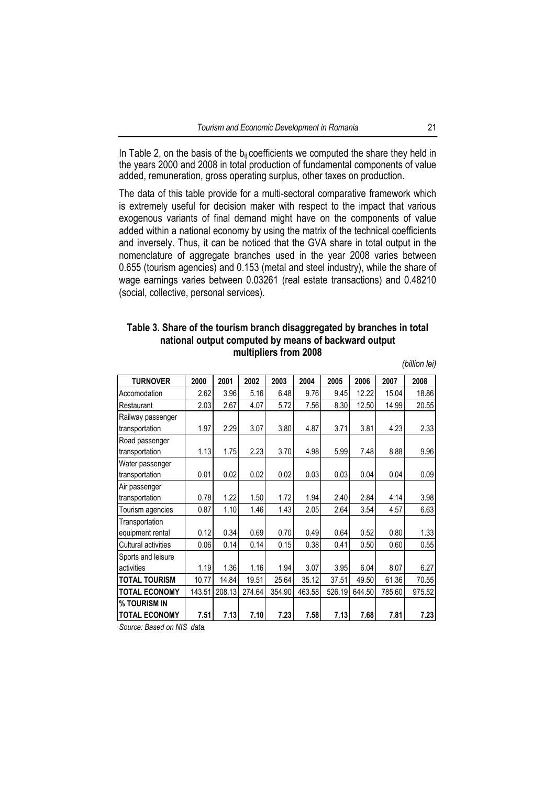In Table 2, on the basis of the  $b_{ii}$  coefficients we computed the share they held in the years 2000 and 2008 in total production of fundamental components of value added, remuneration, gross operating surplus, other taxes on production.

The data of this table provide for a multi-sectoral comparative framework which is extremely useful for decision maker with respect to the impact that various exogenous variants of final demand might have on the components of value added within a national economy by using the matrix of the technical coefficients and inversely. Thus, it can be noticed that the GVA share in total output in the nomenclature of aggregate branches used in the year 2008 varies between 0.655 (tourism agencies) and 0.153 (metal and steel industry), while the share of wage earnings varies between 0.03261 (real estate transactions) and 0.48210 (social, collective, personal services).

## **Table 3. Share of the tourism branch disaggregated by branches in total national output computed by means of backward output multipliers from 2008**

*(billion lei)* 

| <b>TURNOVER</b>      | 2000   | 2001   | 2002   | 2003   | 2004   | 2005   | 2006   | 2007   | 2008   |
|----------------------|--------|--------|--------|--------|--------|--------|--------|--------|--------|
| Accomodation         | 2.62   | 3.96   | 5.16   | 6.48   | 9.76   | 9.45   | 12.22  | 15.04  | 18.86  |
|                      |        |        |        |        |        |        |        |        |        |
| Restaurant           | 2.03   | 2.67   | 4.07   | 5.72   | 7.56   | 8.30   | 12.50  | 14.99  | 20.55  |
| Railway passenger    |        |        |        |        |        |        |        |        |        |
| transportation       | 1.97   | 2.29   | 3.07   | 3.80   | 4.87   | 3.71   | 3.81   | 4.23   | 2.33   |
| Road passenger       |        |        |        |        |        |        |        |        |        |
| transportation       | 1.13   | 1.75   | 2.23   | 3.70   | 4.98   | 5.99   | 7.48   | 8.88   | 9.96   |
| Water passenger      |        |        |        |        |        |        |        |        |        |
| transportation       | 0.01   | 0.02   | 0.02   | 0.02   | 0.03   | 0.03   | 0.04   | 0.04   | 0.09   |
| Air passenger        |        |        |        |        |        |        |        |        |        |
| transportation       | 0.78   | 1.22   | 1.50   | 1.72   | 1.94   | 2.40   | 2.84   | 4.14   | 3.98   |
| Tourism agencies     | 0.87   | 1.10   | 1.46   | 1.43   | 2.05   | 2.64   | 3.54   | 4.57   | 6.63   |
| Transportation       |        |        |        |        |        |        |        |        |        |
| equipment rental     | 0.12   | 0.34   | 0.69   | 0.70   | 0.49   | 0.64   | 0.52   | 0.80   | 1.33   |
| Cultural activities  | 0.06   | 0.14   | 0.14   | 0.15   | 0.38   | 0.41   | 0.50   | 0.60   | 0.55   |
| Sports and leisure   |        |        |        |        |        |        |        |        |        |
| activities           | 1.19   | 1.36   | 1.16   | 1.94   | 3.07   | 3.95   | 6.04   | 8.07   | 6.27   |
| <b>TOTAL TOURISM</b> | 10.77  | 14.84  | 19.51  | 25.64  | 35.12  | 37.51  | 49.50  | 61.36  | 70.55  |
| <b>TOTAL ECONOMY</b> | 143.51 | 208.13 | 274.64 | 354.90 | 463.58 | 526.19 | 644.50 | 785.60 | 975.52 |
| % TOURISM IN         |        |        |        |        |        |        |        |        |        |
| <b>TOTAL ECONOMY</b> | 7.51   | 7.13   | 7.10   | 7.23   | 7.58   | 7.13   | 7.68   | 7.81   | 7.23   |

*Source: Based on NIS data.*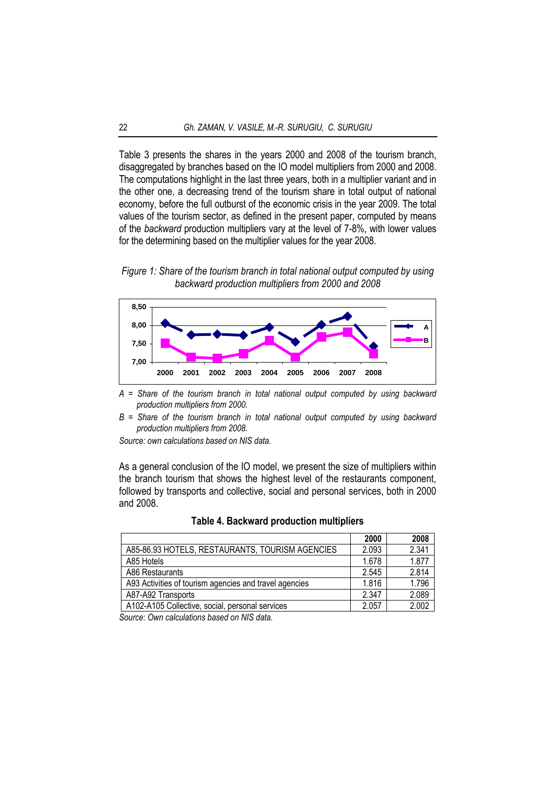Table 3 presents the shares in the years 2000 and 2008 of the tourism branch, disaggregated by branches based on the IO model multipliers from 2000 and 2008. The computations highlight in the last three years, both in a multiplier variant and in the other one, a decreasing trend of the tourism share in total output of national economy, before the full outburst of the economic crisis in the year 2009. The total values of the tourism sector, as defined in the present paper, computed by means of the *backward* production multipliers vary at the level of 7-8%, with lower values for the determining based on the multiplier values for the year 2008.

*Figure 1: Share of the tourism branch in total national output computed by using backward production multipliers from 2000 and 2008* 



*A = Share of the tourism branch in total national output computed by using backward production multipliers from 2000.* 

*B = Share of the tourism branch in total national output computed by using backward production multipliers from 2008.* 

*Source: own calculations based on NIS data.* 

As a general conclusion of the IO model, we present the size of multipliers within the branch tourism that shows the highest level of the restaurants component, followed by transports and collective, social and personal services, both in 2000 and 2008.

|                                                        | 2000  | 2008  |
|--------------------------------------------------------|-------|-------|
| A85-86.93 HOTELS, RESTAURANTS, TOURISM AGENCIES        | 2.093 | 2.341 |
| A85 Hotels                                             | 1.678 | 1.877 |
| A86 Restaurants                                        | 2.545 | 2.814 |
| A93 Activities of tourism agencies and travel agencies | 1.816 | 1.796 |
| A87-A92 Transports                                     | 2.347 | 2.089 |
| A102-A105 Collective, social, personal services        | 2.057 | 2.002 |

**Table 4. Backward production multipliers** 

*Source*: *Own calculations based on NIS data.*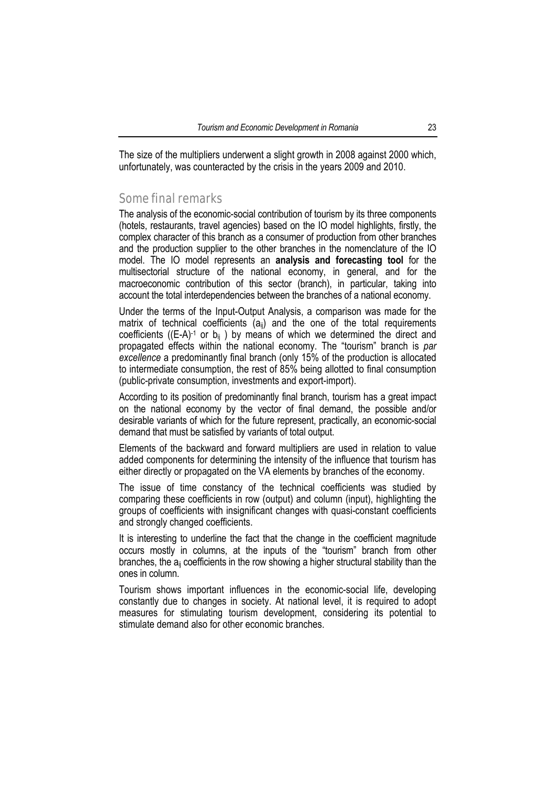The size of the multipliers underwent a slight growth in 2008 against 2000 which, unfortunately, was counteracted by the crisis in the years 2009 and 2010.

## Some final remarks

The analysis of the economic-social contribution of tourism by its three components (hotels, restaurants, travel agencies) based on the IO model highlights, firstly, the complex character of this branch as a consumer of production from other branches and the production supplier to the other branches in the nomenclature of the IO model. The IO model represents an **analysis and forecasting tool** for the multisectorial structure of the national economy, in general, and for the macroeconomic contribution of this sector (branch), in particular, taking into account the total interdependencies between the branches of a national economy.

Under the terms of the Input-Output Analysis, a comparison was made for the matrix of technical coefficients  $(a_{ii})$  and the one of the total requirements coefficients ( $(E-A)^{-1}$  or  $b_{ii}$ ) by means of which we determined the direct and propagated effects within the national economy. The "tourism" branch is *par excellence* a predominantly final branch (only 15% of the production is allocated to intermediate consumption, the rest of 85% being allotted to final consumption (public-private consumption, investments and export-import).

According to its position of predominantly final branch, tourism has a great impact on the national economy by the vector of final demand, the possible and/or desirable variants of which for the future represent, practically, an economic-social demand that must be satisfied by variants of total output.

Elements of the backward and forward multipliers are used in relation to value added components for determining the intensity of the influence that tourism has either directly or propagated on the VA elements by branches of the economy.

The issue of time constancy of the technical coefficients was studied by comparing these coefficients in row (output) and column (input), highlighting the groups of coefficients with insignificant changes with quasi-constant coefficients and strongly changed coefficients.

It is interesting to underline the fact that the change in the coefficient magnitude occurs mostly in columns, at the inputs of the "tourism" branch from other branches, the  $a_{ii}$  coefficients in the row showing a higher structural stability than the ones in column.

Tourism shows important influences in the economic-social life, developing constantly due to changes in society. At national level, it is required to adopt measures for stimulating tourism development, considering its potential to stimulate demand also for other economic branches.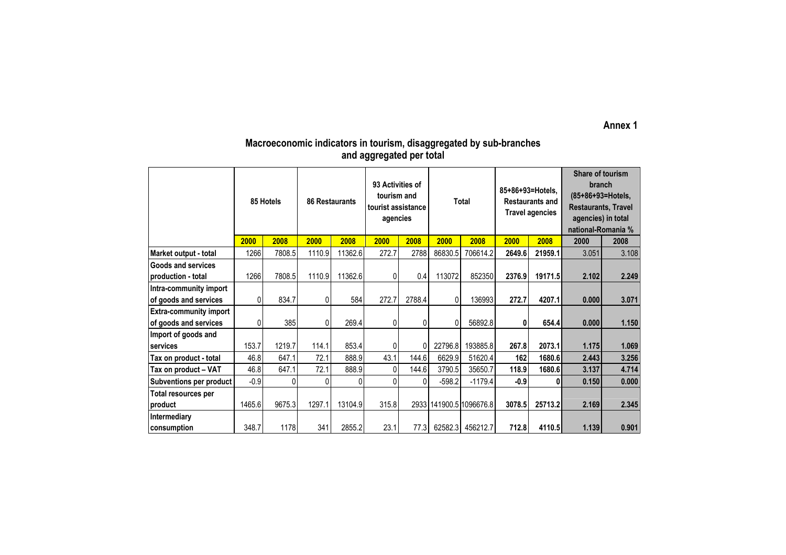#### **Annex 1**

## **Macroeconomic indicators in tourism, disaggregated by sub-branches and aggregated per total**

|                                | 85 Hotels |        | <b>86 Restaurants</b> |         | 93 Activities of<br>tourism and<br>tourist assistance<br>agencies |        | Total    |                         | 85+86+93=Hotels.<br><b>Restaurants and</b><br><b>Travel agencies</b> |         | Share of tourism<br>branch<br>(85+86+93=Hotels,<br><b>Restaurants, Travel</b><br>agencies) in total<br>national-Romania % |       |
|--------------------------------|-----------|--------|-----------------------|---------|-------------------------------------------------------------------|--------|----------|-------------------------|----------------------------------------------------------------------|---------|---------------------------------------------------------------------------------------------------------------------------|-------|
|                                | 2000      | 2008   | 2000                  | 2008    | 2000                                                              | 2008   | 2000     | 2008                    | 2000                                                                 | 2008    | 2000                                                                                                                      | 2008  |
| Market output - total          | 1266      | 7808.5 | 1110.9                | 11362.6 | 272.7                                                             | 2788   | 86830.5  | 706614.2                | 2649.6                                                               | 21959.1 | 3.051                                                                                                                     | 3.108 |
| <b>Goods and services</b>      |           |        |                       |         |                                                                   |        |          |                         |                                                                      |         |                                                                                                                           |       |
| production - total             | 1266      | 7808.5 | 1110.9                | 11362.6 | 0                                                                 | 0.4    | 113072   | 852350                  | 2376.9                                                               | 19171.5 | 2.102                                                                                                                     | 2.249 |
| Intra-community import         |           |        |                       |         |                                                                   |        |          |                         |                                                                      |         |                                                                                                                           |       |
| of goods and services          | 0         | 834.7  | 0                     | 584     | 272.7                                                             | 2788.4 | $\Omega$ | 136993                  | 272.7                                                                | 4207.1  | 0.000                                                                                                                     | 3.071 |
| <b>Extra-community import</b>  |           |        |                       |         |                                                                   |        |          |                         |                                                                      |         |                                                                                                                           |       |
| of goods and services          | 0         | 385    | $\mathbf{0}$          | 269.4   | 0                                                                 | 0      | 0        | 56892.8                 | 0                                                                    | 654.4   | 0.000                                                                                                                     | 1.150 |
| Import of goods and            |           |        |                       |         |                                                                   |        |          |                         |                                                                      |         |                                                                                                                           |       |
| services                       | 153.7     | 1219.7 | 114.1                 | 853.4   | 0                                                                 | 0      | 22796.8  | 193885.8                | 267.8                                                                | 2073.1  | 1.175                                                                                                                     | 1.069 |
| Tax on product - total         | 46.8      | 647.1  | 72.1                  | 888.9   | 43.1                                                              | 144.6  | 6629.9   | 51620.4                 | 162                                                                  | 1680.6  | 2.443                                                                                                                     | 3.256 |
| Tax on product - VAT           | 46.8      | 647.1  | 72.1                  | 888.9   | 0                                                                 | 144.6  | 3790.5   | 35650.7                 | 118.9                                                                | 1680.6  | 3.137                                                                                                                     | 4.714 |
| <b>Subventions per product</b> | $-0.9$    | 0      | 0                     | 0       | 0                                                                 | 0      | $-598.2$ | $-1179.4$               | $-0.9$                                                               | 0       | 0.150                                                                                                                     | 0.000 |
| Total resources per            |           |        |                       |         |                                                                   |        |          |                         |                                                                      |         |                                                                                                                           |       |
| product                        | 1465.6    | 9675.3 | 1297.1                | 13104.9 | 315.8                                                             |        |          | 2933 141900.5 1096676.8 | 3078.5                                                               | 25713.2 | 2.169                                                                                                                     | 2.345 |
| <b>Intermediary</b>            |           |        |                       |         |                                                                   |        |          |                         |                                                                      |         |                                                                                                                           |       |
| consumption                    | 348.7     | 1178   | 341                   | 2855.2  | 23.1                                                              | 77.3   | 62582.3  | 456212.7                | 712.8                                                                | 4110.5  | 1.139                                                                                                                     | 0.901 |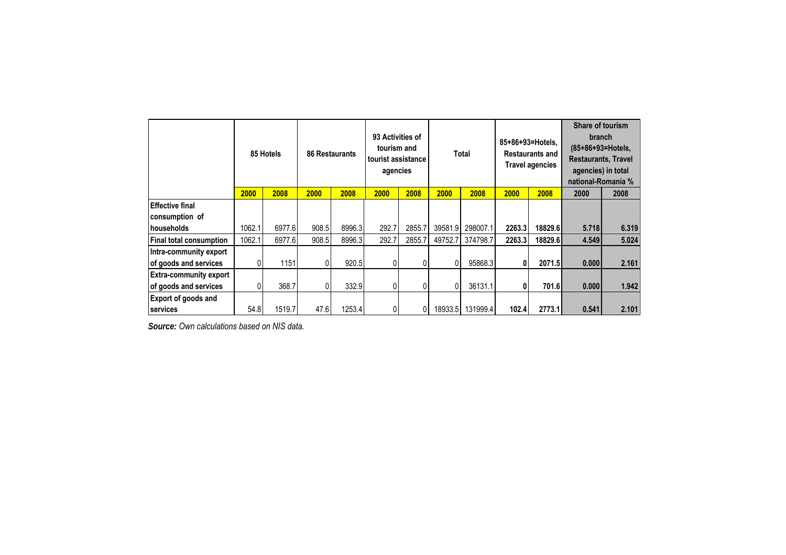|                                | 85 Hotels |        | <b>86 Restaurants</b> |        | 93 Activities of<br>tourism and<br>tourist assistance<br>agencies |        | Total   |          | 85+86+93=Hotels.<br><b>Restaurants and</b><br><b>Travel agencies</b> |         | Share of tourism<br><b>branch</b><br>(85+86+93=Hotels,<br><b>Restaurants, Travel</b><br>agencies) in total<br>national-Romania % |       |
|--------------------------------|-----------|--------|-----------------------|--------|-------------------------------------------------------------------|--------|---------|----------|----------------------------------------------------------------------|---------|----------------------------------------------------------------------------------------------------------------------------------|-------|
|                                | 2000      | 2008   | 2000                  | 2008   | 2000                                                              | 2008   | 2000    | 2008     | 2000                                                                 | 2008    | 2000                                                                                                                             | 2008  |
| <b>Effective final</b>         |           |        |                       |        |                                                                   |        |         |          |                                                                      |         |                                                                                                                                  |       |
| consumption of                 |           |        |                       |        |                                                                   |        |         |          |                                                                      |         |                                                                                                                                  |       |
| <b>Inouseholds</b>             | 1062.1    | 6977.6 | 908.5                 | 8996.3 | 292.7                                                             | 2855.7 | 39581.9 | 298007.1 | 2263.3                                                               | 18829.6 | 5.718                                                                                                                            | 6.319 |
| <b>Final total consumption</b> | 1062.1    | 6977.6 | 908.5                 | 8996.3 | 292.7                                                             | 2855.7 | 49752.7 | 374798.7 | 2263.3                                                               | 18829.6 | 4.549                                                                                                                            | 5.024 |
| Intra-community export         |           |        |                       |        |                                                                   |        |         |          |                                                                      |         |                                                                                                                                  |       |
| of goods and services          |           | 1151   |                       | 920.5  | 0                                                                 | 0      |         | 95868.3  | 0                                                                    | 2071.5  | 0.000                                                                                                                            | 2.161 |
| <b>Extra-community export</b>  |           |        |                       |        |                                                                   |        |         |          |                                                                      |         |                                                                                                                                  |       |
| of goods and services          | 0         | 368.7  |                       | 332.9  | 0                                                                 | 0      | 0       | 36131.1  | 0                                                                    | 701.6   | 0.000                                                                                                                            | 1.942 |
| <b>Export of goods and</b>     |           |        |                       |        |                                                                   |        |         |          |                                                                      |         |                                                                                                                                  |       |
| services                       | 54.8      | 1519.7 | 47.6                  | 1253.4 |                                                                   | 0      | 18933.5 | 131999.4 | 102.4                                                                | 2773.1  | 0.541                                                                                                                            | 2.101 |

*Source: Own calculations based on NIS data.*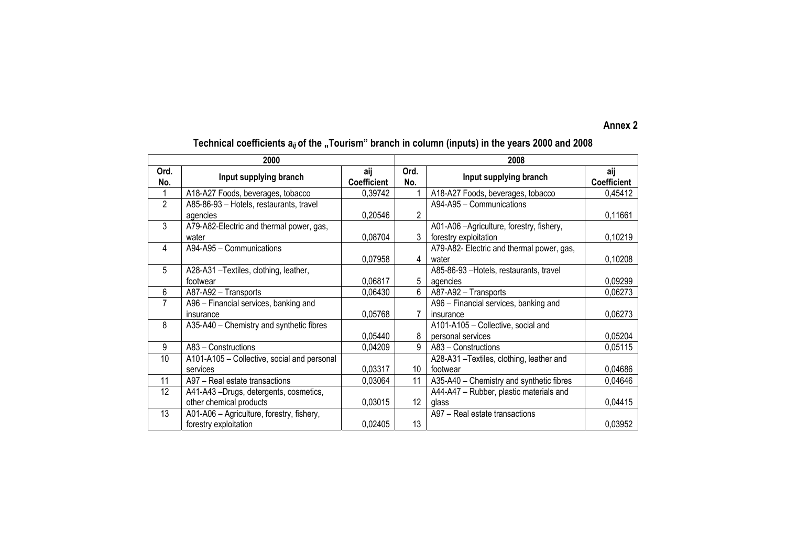#### **Annex 2**

## Technical coefficients a<sub>ij</sub> of the "Tourism" branch in column (inputs) in the years 2000 and 2008

|                | 2000                                        |                           | 2008            |                                           |                           |  |  |  |
|----------------|---------------------------------------------|---------------------------|-----------------|-------------------------------------------|---------------------------|--|--|--|
| Ord.<br>No.    | Input supplying branch                      | aij<br><b>Coefficient</b> | Ord.<br>No.     | Input supplying branch                    | aij<br><b>Coefficient</b> |  |  |  |
|                | A18-A27 Foods, beverages, tobacco           | 0,39742                   |                 | A18-A27 Foods, beverages, tobacco         | 0,45412                   |  |  |  |
| $\overline{2}$ | A85-86-93 - Hotels, restaurants, travel     |                           |                 | A94-A95 - Communications                  |                           |  |  |  |
|                | agencies                                    | 0,20546                   | 2               |                                           | 0,11661                   |  |  |  |
| 3              | A79-A82-Electric and thermal power, gas,    |                           |                 | A01-A06 - Agriculture, forestry, fishery, |                           |  |  |  |
|                | water                                       | 0,08704                   | 3               | forestry exploitation                     | 0,10219                   |  |  |  |
| 4              | A94-A95 - Communications                    |                           |                 | A79-A82- Electric and thermal power, gas, |                           |  |  |  |
|                |                                             | 0.07958                   | 4               | water                                     | 0,10208                   |  |  |  |
| 5              | A28-A31 - Textiles, clothing, leather,      |                           |                 | A85-86-93 - Hotels, restaurants, travel   |                           |  |  |  |
|                | footwear                                    | 0.06817                   | 5               | agencies                                  | 0,09299                   |  |  |  |
| 6              | A87-A92 - Transports                        | 0,06430                   | 6               | A87-A92 - Transports                      | 0,06273                   |  |  |  |
| 7              | A96 - Financial services, banking and       |                           |                 | A96 - Financial services, banking and     |                           |  |  |  |
|                | insurance                                   | 0,05768                   |                 | insurance                                 | 0,06273                   |  |  |  |
| 8              | A35-A40 - Chemistry and synthetic fibres    |                           |                 | A101-A105 - Collective, social and        |                           |  |  |  |
|                |                                             | 0,05440                   | 8               | personal services                         | 0,05204                   |  |  |  |
| 9              | A83 - Constructions                         | 0,04209                   | 9               | A83 - Constructions                       | 0,05115                   |  |  |  |
| 10             | A101-A105 - Collective, social and personal |                           |                 | A28-A31 - Textiles, clothing, leather and |                           |  |  |  |
|                | services                                    | 0,03317                   | 10              | footwear                                  | 0,04686                   |  |  |  |
| 11             | A97 - Real estate transactions              | 0,03064                   | 11              | A35-A40 - Chemistry and synthetic fibres  | 0,04646                   |  |  |  |
| 12             | A41-A43 -Drugs, detergents, cosmetics,      |                           |                 | A44-A47 - Rubber, plastic materials and   |                           |  |  |  |
|                | other chemical products                     | 0,03015                   | 12 <sup>°</sup> | alass                                     | 0,04415                   |  |  |  |
| 13             | A01-A06 - Agriculture, forestry, fishery,   |                           |                 | A97 - Real estate transactions            |                           |  |  |  |
|                | forestry exploitation                       | 0,02405                   | 13              |                                           | 0,03952                   |  |  |  |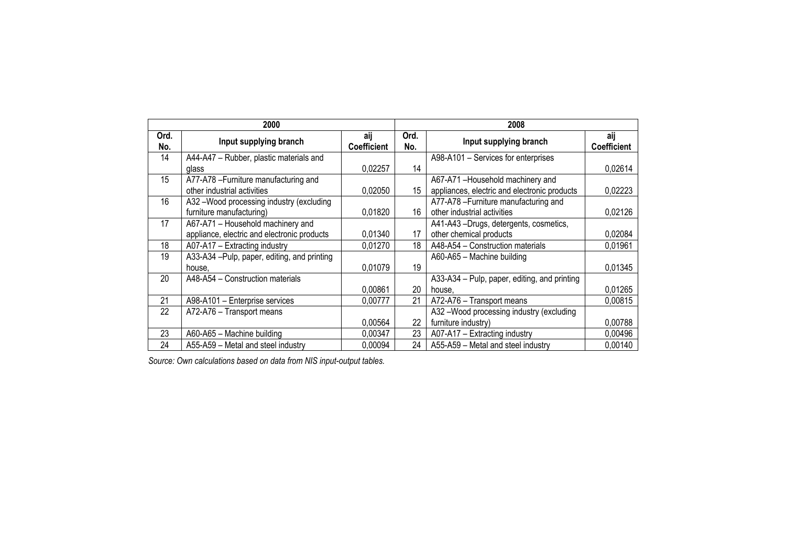|             | 2000                                         |                           |             | 2008                                         |                           |
|-------------|----------------------------------------------|---------------------------|-------------|----------------------------------------------|---------------------------|
| Ord.<br>No. | Input supplying branch                       | aij<br><b>Coefficient</b> | Ord.<br>No. | Input supplying branch                       | aij<br><b>Coefficient</b> |
| 14          | A44-A47 - Rubber, plastic materials and      |                           |             | A98-A101 - Services for enterprises          |                           |
|             | glass                                        | 0,02257                   | 14          |                                              | 0,02614                   |
| 15          | A77-A78 - Furniture manufacturing and        |                           |             | A67-A71-Household machinery and              |                           |
|             | other industrial activities                  | 0,02050                   | 15          | appliances, electric and electronic products | 0,02223                   |
| 16          | A32 -Wood processing industry (excluding     |                           |             | A77-A78-Furniture manufacturing and          |                           |
|             | furniture manufacturing)                     | 0.01820                   | 16          | other industrial activities                  | 0,02126                   |
| 17          | A67-A71 - Household machinery and            |                           |             | A41-A43 -Drugs, detergents, cosmetics,       |                           |
|             | appliance, electric and electronic products  | 0.01340                   | 17          | other chemical products                      | 0,02084                   |
| 18          | A07-A17 - Extracting industry                | 0.01270                   | 18          | A48-A54 - Construction materials             | 0.01961                   |
| 19          | A33-A34 - Pulp, paper, editing, and printing |                           |             | A60-A65 - Machine building                   |                           |
|             | house,                                       | 0.01079                   | 19          |                                              | 0.01345                   |
| 20          | A48-A54 - Construction materials             |                           |             | A33-A34 - Pulp, paper, editing, and printing |                           |
|             |                                              | 0.00861                   | 20          | house,                                       | 0,01265                   |
| 21          | A98-A101 - Enterprise services               | 0,00777                   | 21          | A72-A76 - Transport means                    | 0.00815                   |
| 22          | A72-A76 - Transport means                    |                           |             | A32-Wood processing industry (excluding      |                           |
|             |                                              | 0,00564                   | 22          | furniture industry)                          | 0,00788                   |
| 23          | A60-A65 - Machine building                   | 0,00347                   | 23          | A07-A17 - Extracting industry                | 0,00496                   |
| 24          | A55-A59 - Metal and steel industry           | 0.00094                   | 24          | A55-A59 - Metal and steel industry           | 0,00140                   |

*Source: Own calculations based on data from NIS input-output tables.*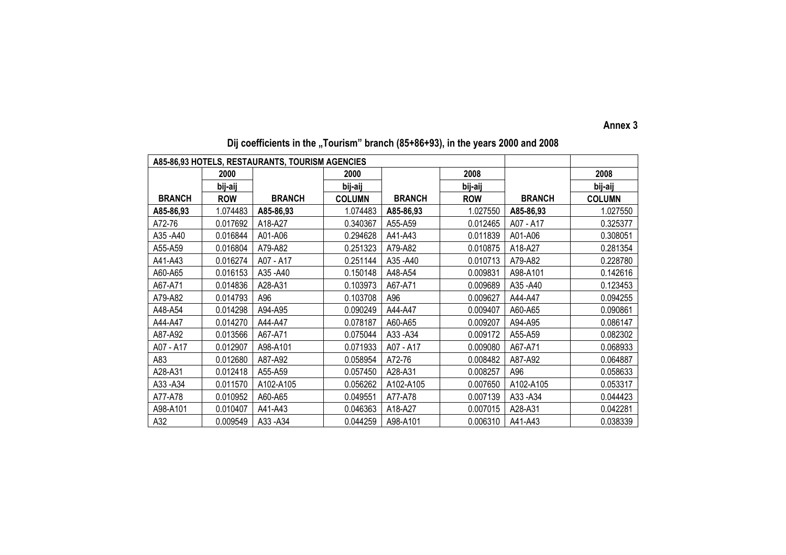#### **Annex 3**

|               |            | A85-86,93 HOTELS, RESTAURANTS, TOURISM AGENCIES |               |               |            |               |               |
|---------------|------------|-------------------------------------------------|---------------|---------------|------------|---------------|---------------|
|               | 2000       |                                                 | 2000          |               | 2008       |               | 2008          |
|               | bij-aij    |                                                 | bij-aij       |               | bij-aij    |               | bij-aij       |
| <b>BRANCH</b> | <b>ROW</b> | <b>BRANCH</b>                                   | <b>COLUMN</b> | <b>BRANCH</b> | <b>ROW</b> | <b>BRANCH</b> | <b>COLUMN</b> |
| A85-86,93     | 1.074483   | A85-86,93                                       | 1.074483      | A85-86,93     | 1.027550   | A85-86,93     | 1.027550      |
| A72-76        | 0.017692   | A18-A27                                         | 0.340367      | A55-A59       | 0.012465   | A07 - A17     | 0.325377      |
| A35-A40       | 0.016844   | A01-A06                                         | 0.294628      | A41-A43       | 0.011839   | A01-A06       | 0.308051      |
| A55-A59       | 0.016804   | A79-A82                                         | 0.251323      | A79-A82       | 0.010875   | A18-A27       | 0.281354      |
| A41-A43       | 0.016274   | A07 - A17                                       | 0.251144      | A35-A40       | 0.010713   | A79-A82       | 0.228780      |
| A60-A65       | 0.016153   | A35 - A40                                       | 0.150148      | A48-A54       | 0.009831   | A98-A101      | 0.142616      |
| A67-A71       | 0.014836   | A28-A31                                         | 0.103973      | A67-A71       | 0.009689   | A35 - A40     | 0.123453      |
| A79-A82       | 0.014793   | A96                                             | 0.103708      | A96           | 0.009627   | A44-A47       | 0.094255      |
| A48-A54       | 0.014298   | A94-A95                                         | 0.090249      | A44-A47       | 0.009407   | A60-A65       | 0.090861      |
| A44-A47       | 0.014270   | A44-A47                                         | 0.078187      | A60-A65       | 0.009207   | A94-A95       | 0.086147      |
| A87-A92       | 0.013566   | A67-A71                                         | 0.075044      | A33-A34       | 0.009172   | A55-A59       | 0.082302      |
| A07 - A17     | 0.012907   | A98-A101                                        | 0.071933      | A07 - A17     | 0.009080   | A67-A71       | 0.068933      |
| A83           | 0.012680   | A87-A92                                         | 0.058954      | A72-76        | 0.008482   | A87-A92       | 0.064887      |
| A28-A31       | 0.012418   | A55-A59                                         | 0.057450      | A28-A31       | 0.008257   | A96           | 0.058633      |
| A33-A34       | 0.011570   | A102-A105                                       | 0.056262      | A102-A105     | 0.007650   | A102-A105     | 0.053317      |
| A77-A78       | 0.010952   | A60-A65                                         | 0.049551      | A77-A78       | 0.007139   | A33-A34       | 0.044423      |
| A98-A101      | 0.010407   | A41-A43                                         | 0.046363      | A18-A27       | 0.007015   | A28-A31       | 0.042281      |
| A32           | 0.009549   | A33-A34                                         | 0.044259      | A98-A101      | 0.006310   | A41-A43       | 0.038339      |

## Dij coefficients in the "Tourism" branch (85+86+93), in the years 2000 and 2008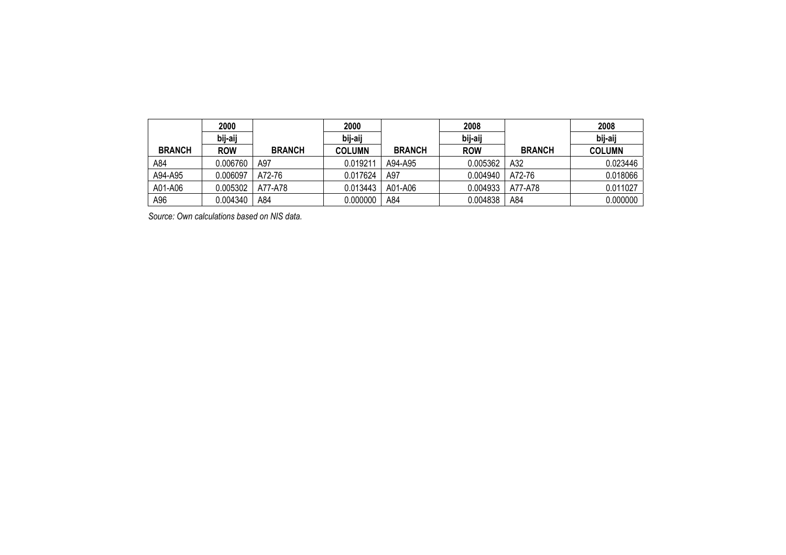|               | 2000       |               | 2000          |               | 2008       |               | 2008          |
|---------------|------------|---------------|---------------|---------------|------------|---------------|---------------|
|               | bij-aij    |               | bij-aij       |               | bij-aij    |               | bij-aij       |
| <b>BRANCH</b> | <b>ROW</b> | <b>BRANCH</b> | <b>COLUMN</b> | <b>BRANCH</b> | <b>ROW</b> | <b>BRANCH</b> | <b>COLUMN</b> |
| A84           | 0.006760   | A97           | 0.019211      | A94-A95       | 0.005362   | A32           | 0.023446      |
| A94-A95       | 0.006097   | A72-76        | 0.017624      | A97           | 0.004940   | A72-76        | 0.018066      |
| A01-A06       | 0.005302   | A77-A78       | 0.013443      | A01-A06       | 0.004933   | A77-A78       | 0.011027      |
| A96           | 0.004340   | A84           | 0.000000      | A84           | 0.004838   | A84           | 0.000000      |

*Source: Own calculations based on NIS data.*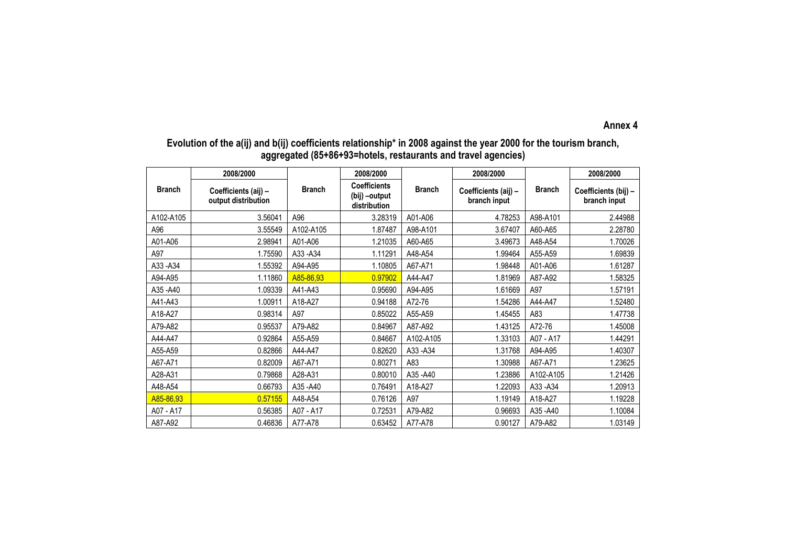#### **Annex 4**

### **Evolution of the a(ij) and b(ij) coefficients relationship\* in 2008 against the year 2000 for the tourism branch, aggregated (85+86+93=hotels, restaurants and travel agencies)**

|               | 2008/2000                                   |               | 2008/2000                                            |               | 2008/2000                            |               | 2008/2000                            |
|---------------|---------------------------------------------|---------------|------------------------------------------------------|---------------|--------------------------------------|---------------|--------------------------------------|
| <b>Branch</b> | Coefficients (aij) -<br>output distribution | <b>Branch</b> | <b>Coefficients</b><br>(bij) -output<br>distribution | <b>Branch</b> | Coefficients (aij) -<br>branch input | <b>Branch</b> | Coefficients (bij) -<br>branch input |
| A102-A105     | 3.56041                                     | A96           | 3.28319                                              | A01-A06       | 4.78253                              | A98-A101      | 2.44988                              |
| A96           | 3.55549                                     | A102-A105     | 1.87487                                              | A98-A101      | 3.67407                              | A60-A65       | 2.28780                              |
| A01-A06       | 2.98941                                     | A01-A06       | 1.21035                                              | A60-A65       | 3.49673                              | A48-A54       | 1.70026                              |
| A97           | 1.75590                                     | A33-A34       | 1.11291                                              | A48-A54       | 1.99464                              | A55-A59       | 1.69839                              |
| A33 - A34     | 1.55392                                     | A94-A95       | 1.10805                                              | A67-A71       | 1.98448                              | A01-A06       | 1.61287                              |
| A94-A95       | 1.11860                                     | A85-86,93     | 0.97902                                              | A44-A47       | 1.81969                              | A87-A92       | 1.58325                              |
| A35 - A40     | 1.09339                                     | A41-A43       | 0.95690                                              | A94-A95       | 1.61669                              | A97           | 1.57191                              |
| A41-A43       | 1.00911                                     | A18-A27       | 0.94188                                              | A72-76        | 1.54286                              | A44-A47       | 1.52480                              |
| A18-A27       | 0.98314                                     | A97           | 0.85022                                              | A55-A59       | 1.45455                              | A83           | 1.47738                              |
| A79-A82       | 0.95537                                     | A79-A82       | 0.84967                                              | A87-A92       | 1.43125                              | A72-76        | 1.45008                              |
| A44-A47       | 0.92864                                     | A55-A59       | 0.84667                                              | A102-A105     | 1.33103                              | A07 - A17     | 1.44291                              |
| A55-A59       | 0.82866                                     | A44-A47       | 0.82620                                              | A33-A34       | 1.31768                              | A94-A95       | 1.40307                              |
| A67-A71       | 0.82009                                     | A67-A71       | 0.80271                                              | A83           | 1.30988                              | A67-A71       | 1.23625                              |
| A28-A31       | 0.79868                                     | A28-A31       | 0.80010                                              | A35 - A40     | 1.23886                              | A102-A105     | 1.21426                              |
| A48-A54       | 0.66793                                     | A35 - A40     | 0.76491                                              | A18-A27       | 1.22093                              | A33-A34       | 1.20913                              |
| A85-86,93     | 0.57155                                     | A48-A54       | 0.76126                                              | A97           | 1.19149                              | A18-A27       | 1.19228                              |
| A07 - A17     | 0.56385                                     | A07 - A17     | 0.72531                                              | A79-A82       | 0.96693                              | A35-A40       | 1.10084                              |
| A87-A92       | 0.46836                                     | A77-A78       | 0.63452                                              | A77-A78       | 0.90127                              | A79-A82       | 1.03149                              |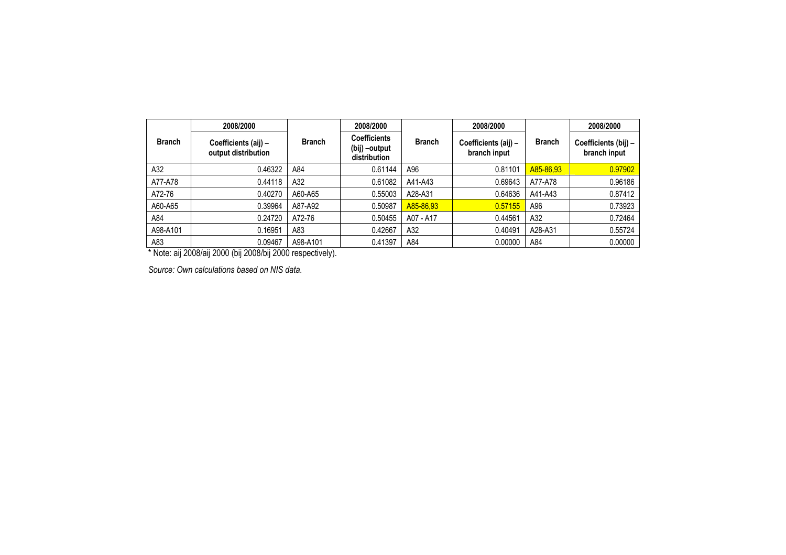|               | 2008/2000                                   |               | 2008/2000                                            |               | 2008/2000                            |               | 2008/2000                            |  |
|---------------|---------------------------------------------|---------------|------------------------------------------------------|---------------|--------------------------------------|---------------|--------------------------------------|--|
| <b>Branch</b> | Coefficients (aij) -<br>output distribution | <b>Branch</b> | <b>Coefficients</b><br>(bij) –output<br>distribution | <b>Branch</b> | Coefficients (aij) -<br>branch input | <b>Branch</b> | Coefficients (bij) -<br>branch input |  |
| A32           | 0.46322                                     | A84           | 0.61144                                              | A96           | 0.81101                              | A85-86,93     | 0.97902                              |  |
| A77-A78       | 0.44118                                     | A32           | 0.61082                                              | A41-A43       | 0.69643                              | A77-A78       | 0.96186                              |  |
| A72-76        | 0.40270                                     | A60-A65       | 0.55003                                              | A28-A31       | 0.64636                              | A41-A43       | 0.87412                              |  |
| A60-A65       | 0.39964                                     | A87-A92       | 0.50987                                              | A85-86,93     | 0.57155                              | A96           | 0.73923                              |  |
| A84           | 0.24720                                     | A72-76        | 0.50455                                              | A07 - A17     | 0.44561                              | A32           | 0.72464                              |  |
| A98-A101      | 0.16951                                     | A83           | 0.42667                                              | A32           | 0.40491                              | A28-A31       | 0.55724                              |  |
| A83           | 0.09467                                     | A98-A101      | 0.41397                                              | A84           | 0.00000                              | A84           | 0.00000                              |  |

\* Note: aij 2008/aij 2000 (bij 2008/bij 2000 respectively).

*Source: Own calculations based on NIS data.*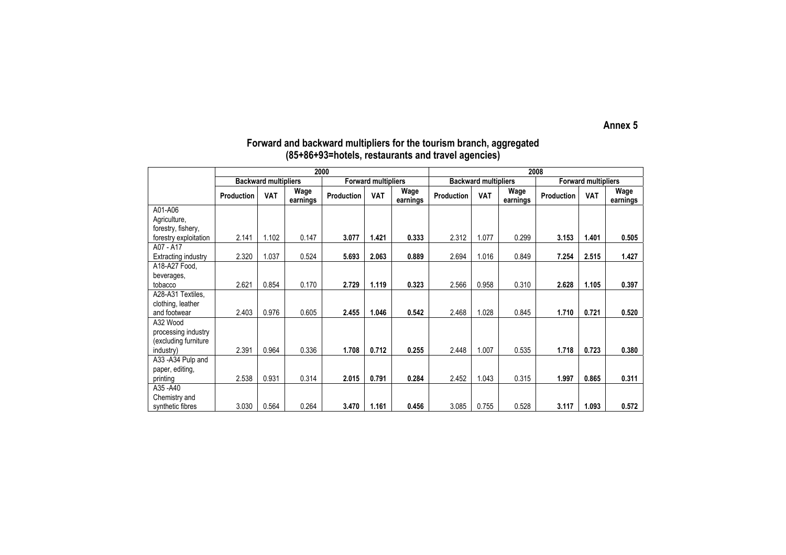**Annex 5** 

|                       |            |                             | 2000             |            |                            | 2008             |                   |                             |                  |            |                            |                  |  |
|-----------------------|------------|-----------------------------|------------------|------------|----------------------------|------------------|-------------------|-----------------------------|------------------|------------|----------------------------|------------------|--|
|                       |            | <b>Backward multipliers</b> |                  |            | <b>Forward multipliers</b> |                  |                   | <b>Backward multipliers</b> |                  |            | <b>Forward multipliers</b> |                  |  |
|                       | Production | <b>VAT</b>                  | Wage<br>earnings | Production | <b>VAT</b>                 | Wage<br>earnings | <b>Production</b> | <b>VAT</b>                  | Wage<br>earnings | Production | <b>VAT</b>                 | Wage<br>earnings |  |
| A01-A06               |            |                             |                  |            |                            |                  |                   |                             |                  |            |                            |                  |  |
| Agriculture,          |            |                             |                  |            |                            |                  |                   |                             |                  |            |                            |                  |  |
| forestry, fishery,    |            |                             |                  |            |                            |                  |                   |                             |                  |            |                            |                  |  |
| forestry exploitation | 2.141      | 1.102                       | 0.147            | 3.077      | 1.421                      | 0.333            | 2.312             | 1.077                       | 0.299            | 3.153      | 1.401                      | 0.505            |  |
| A07 - A17             |            |                             |                  |            |                            |                  |                   |                             |                  |            |                            |                  |  |
| Extracting industry   | 2.320      | 1.037                       | 0.524            | 5.693      | 2.063                      | 0.889            | 2.694             | 1.016                       | 0.849            | 7.254      | 2.515                      | 1.427            |  |
| A18-A27 Food,         |            |                             |                  |            |                            |                  |                   |                             |                  |            |                            |                  |  |
| beverages,            |            |                             |                  |            |                            |                  |                   |                             |                  |            |                            |                  |  |
| tobacco               | 2.621      | 0.854                       | 0.170            | 2.729      | 1.119                      | 0.323            | 2.566             | 0.958                       | 0.310            | 2.628      | 1.105                      | 0.397            |  |
| A28-A31 Textiles,     |            |                             |                  |            |                            |                  |                   |                             |                  |            |                            |                  |  |
| clothing, leather     |            |                             |                  |            |                            |                  |                   |                             |                  |            |                            |                  |  |
| and footwear          | 2.403      | 0.976                       | 0.605            | 2.455      | 1.046                      | 0.542            | 2.468             | 1.028                       | 0.845            | 1.710      | 0.721                      | 0.520            |  |
| A32 Wood              |            |                             |                  |            |                            |                  |                   |                             |                  |            |                            |                  |  |
| processing industry   |            |                             |                  |            |                            |                  |                   |                             |                  |            |                            |                  |  |
| (excluding furniture  |            |                             |                  |            |                            |                  |                   |                             |                  |            |                            |                  |  |
| industry)             | 2.391      | 0.964                       | 0.336            | 1.708      | 0.712                      | 0.255            | 2.448             | 1.007                       | 0.535            | 1.718      | 0.723                      | 0.380            |  |
| A33-A34 Pulp and      |            |                             |                  |            |                            |                  |                   |                             |                  |            |                            |                  |  |
| paper, editing,       |            |                             |                  |            |                            |                  |                   |                             |                  |            |                            |                  |  |
| printing              | 2.538      | 0.931                       | 0.314            | 2.015      | 0.791                      | 0.284            | 2.452             | 1.043                       | 0.315            | 1.997      | 0.865                      | 0.311            |  |
| A35-A40               |            |                             |                  |            |                            |                  |                   |                             |                  |            |                            |                  |  |
| Chemistry and         |            |                             |                  |            |                            |                  |                   |                             |                  |            |                            |                  |  |
| synthetic fibres      | 3.030      | 0.564                       | 0.264            | 3.470      | 1.161                      | 0.456            | 3.085             | 0.755                       | 0.528            | 3.117      | 1.093                      | 0.572            |  |

## **Forward and backward multipliers for the tourism branch, aggregated (85+86+93=hotels, restaurants and travel agencies)**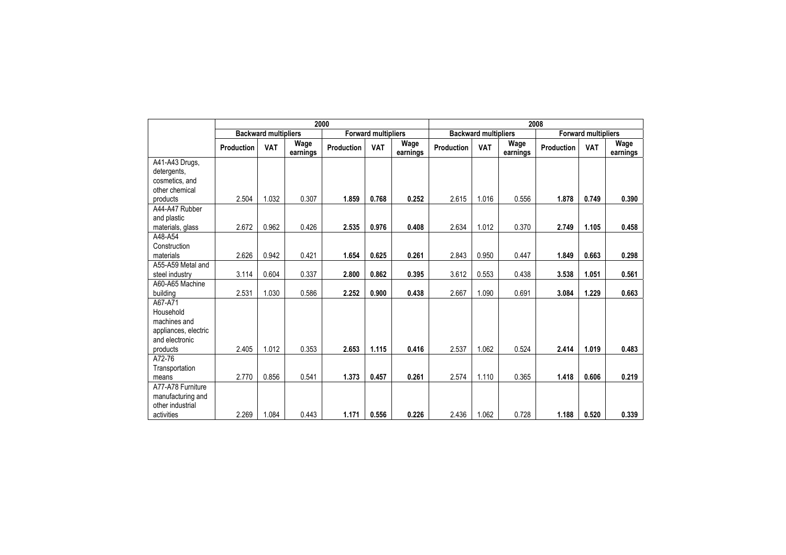|                                   |                   |                             | 2000             |            |                            | 2008             |                   |                             |                  |                   |                            |                  |  |
|-----------------------------------|-------------------|-----------------------------|------------------|------------|----------------------------|------------------|-------------------|-----------------------------|------------------|-------------------|----------------------------|------------------|--|
|                                   |                   | <b>Backward multipliers</b> |                  |            | <b>Forward multipliers</b> |                  |                   | <b>Backward multipliers</b> |                  |                   | <b>Forward multipliers</b> |                  |  |
|                                   | <b>Production</b> | <b>VAT</b>                  | Wage<br>earnings | Production | <b>VAT</b>                 | Wage<br>earnings | <b>Production</b> | <b>VAT</b>                  | Wage<br>earnings | <b>Production</b> | <b>VAT</b>                 | Wage<br>earnings |  |
| A41-A43 Drugs,                    |                   |                             |                  |            |                            |                  |                   |                             |                  |                   |                            |                  |  |
| detergents,                       |                   |                             |                  |            |                            |                  |                   |                             |                  |                   |                            |                  |  |
| cosmetics, and                    |                   |                             |                  |            |                            |                  |                   |                             |                  |                   |                            |                  |  |
| other chemical                    |                   |                             |                  |            |                            |                  |                   |                             |                  |                   |                            |                  |  |
| products                          | 2.504             | 1.032                       | 0.307            | 1.859      | 0.768                      | 0.252            | 2.615             | 1.016                       | 0.556            | 1.878             | 0.749                      | 0.390            |  |
| A44-A47 Rubber                    |                   |                             |                  |            |                            |                  |                   |                             |                  |                   |                            |                  |  |
| and plastic                       |                   |                             |                  |            |                            |                  |                   |                             |                  |                   |                            |                  |  |
| materials, glass                  | 2.672             | 0.962                       | 0.426            | 2.535      | 0.976                      | 0.408            | 2.634             | 1.012                       | 0.370            | 2.749             | 1.105                      | 0.458            |  |
| A48-A54                           |                   |                             |                  |            |                            |                  |                   |                             |                  |                   |                            |                  |  |
| Construction                      |                   |                             |                  |            |                            |                  |                   |                             |                  |                   |                            |                  |  |
| materials                         | 2.626             | 0.942                       | 0.421            | 1.654      | 0.625                      | 0.261            | 2.843             | 0.950                       | 0.447            | 1.849             | 0.663                      | 0.298            |  |
| A55-A59 Metal and                 | 3.114             | 0.604                       | 0.337            | 2.800      | 0.862                      | 0.395            | 3.612             | 0.553                       | 0.438            | 3.538             | 1.051                      | 0.561            |  |
| steel industry<br>A60-A65 Machine |                   |                             |                  |            |                            |                  |                   |                             |                  |                   |                            |                  |  |
|                                   |                   | 1.030                       | 0.586            | 2.252      | 0.900                      | 0.438            | 2.667             | 1.090                       | 0.691            | 3.084             | 1.229                      | 0.663            |  |
| building<br>A67-A71               | 2.531             |                             |                  |            |                            |                  |                   |                             |                  |                   |                            |                  |  |
| Household                         |                   |                             |                  |            |                            |                  |                   |                             |                  |                   |                            |                  |  |
| machines and                      |                   |                             |                  |            |                            |                  |                   |                             |                  |                   |                            |                  |  |
| appliances, electric              |                   |                             |                  |            |                            |                  |                   |                             |                  |                   |                            |                  |  |
| and electronic                    |                   |                             |                  |            |                            |                  |                   |                             |                  |                   |                            |                  |  |
| products                          | 2.405             | 1.012                       | 0.353            | 2.653      | 1.115                      | 0.416            | 2.537             | 1.062                       | 0.524            | 2.414             | 1.019                      | 0.483            |  |
| A72-76                            |                   |                             |                  |            |                            |                  |                   |                             |                  |                   |                            |                  |  |
| Transportation                    |                   |                             |                  |            |                            |                  |                   |                             |                  |                   |                            |                  |  |
| means                             | 2.770             | 0.856                       | 0.541            | 1.373      | 0.457                      | 0.261            | 2.574             | 1.110                       | 0.365            | 1.418             | 0.606                      | 0.219            |  |
| A77-A78 Furniture                 |                   |                             |                  |            |                            |                  |                   |                             |                  |                   |                            |                  |  |
| manufacturing and                 |                   |                             |                  |            |                            |                  |                   |                             |                  |                   |                            |                  |  |
| other industrial                  |                   |                             |                  |            |                            |                  |                   |                             |                  |                   |                            |                  |  |
| activities                        | 2.269             | 1.084                       | 0.443            | 1.171      | 0.556                      | 0.226            | 2.436             | 1.062                       | 0.728            | 1.188             | 0.520                      | 0.339            |  |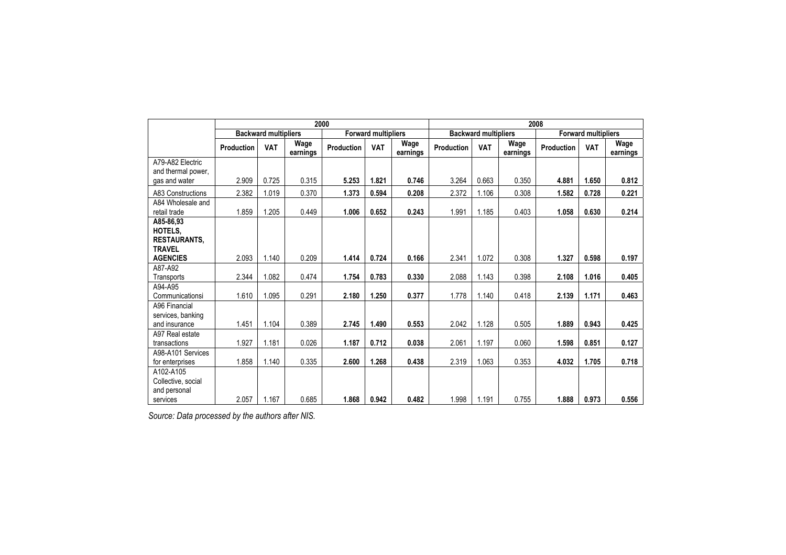|                    |            |                             |                  | 2000       |                            | 2008             |            |                             |                  |            |                            |                  |  |
|--------------------|------------|-----------------------------|------------------|------------|----------------------------|------------------|------------|-----------------------------|------------------|------------|----------------------------|------------------|--|
|                    |            | <b>Backward multipliers</b> |                  |            | <b>Forward multipliers</b> |                  |            | <b>Backward multipliers</b> |                  |            | <b>Forward multipliers</b> |                  |  |
|                    | Production | <b>VAT</b>                  | Wage<br>earnings | Production | <b>VAT</b>                 | Wage<br>earnings | Production | <b>VAT</b>                  | Wage<br>earnings | Production | <b>VAT</b>                 | Wage<br>earnings |  |
| A79-A82 Electric   |            |                             |                  |            |                            |                  |            |                             |                  |            |                            |                  |  |
| and thermal power, |            |                             |                  |            |                            |                  |            |                             |                  |            |                            |                  |  |
| gas and water      | 2.909      | 0.725                       | 0.315            | 5.253      | 1.821                      | 0.746            | 3.264      | 0.663                       | 0.350            | 4.881      | 1.650                      | 0.812            |  |
| A83 Constructions  | 2.382      | 1.019                       | 0.370            | 1.373      | 0.594                      | 0.208            | 2.372      | 1.106                       | 0.308            | 1.582      | 0.728                      | 0.221            |  |
| A84 Wholesale and  |            |                             |                  |            |                            |                  |            |                             |                  |            |                            |                  |  |
| retail trade       | 1.859      | 1.205                       | 0.449            | 1.006      | 0.652                      | 0.243            | 1.991      | 1.185                       | 0.403            | 1.058      | 0.630                      | 0.214            |  |
| A85-86.93          |            |                             |                  |            |                            |                  |            |                             |                  |            |                            |                  |  |
| HOTELS,            |            |                             |                  |            |                            |                  |            |                             |                  |            |                            |                  |  |
| RESTAURANTS,       |            |                             |                  |            |                            |                  |            |                             |                  |            |                            |                  |  |
| <b>TRAVEL</b>      |            |                             |                  |            |                            |                  |            |                             |                  |            |                            |                  |  |
| <b>AGENCIES</b>    | 2.093      | 1.140                       | 0.209            | 1.414      | 0.724                      | 0.166            | 2.341      | 1.072                       | 0.308            | 1.327      | 0.598                      | 0.197            |  |
| A87-A92            |            |                             |                  |            |                            |                  |            |                             |                  |            |                            |                  |  |
| Transports         | 2.344      | 1.082                       | 0.474            | 1.754      | 0.783                      | 0.330            | 2.088      | 1.143                       | 0.398            | 2.108      | 1.016                      | 0.405            |  |
| A94-A95            |            |                             |                  |            |                            |                  |            |                             |                  |            |                            |                  |  |
| Communicationsi    | 1.610      | 1.095                       | 0.291            | 2.180      | 1.250                      | 0.377            | 1.778      | 1.140                       | 0.418            | 2.139      | 1.171                      | 0.463            |  |
| A96 Financial      |            |                             |                  |            |                            |                  |            |                             |                  |            |                            |                  |  |
| services, banking  |            |                             |                  |            |                            |                  |            |                             |                  |            |                            |                  |  |
| and insurance      | 1.451      | 1.104                       | 0.389            | 2.745      | 1.490                      | 0.553            | 2.042      | 1.128                       | 0.505            | 1.889      | 0.943                      | 0.425            |  |
| A97 Real estate    |            |                             |                  |            |                            |                  |            |                             |                  |            |                            |                  |  |
| transactions       | 1.927      | 1.181                       | 0.026            | 1.187      | 0.712                      | 0.038            | 2.061      | 1.197                       | 0.060            | 1.598      | 0.851                      | 0.127            |  |
| A98-A101 Services  |            |                             |                  |            |                            |                  |            |                             |                  |            |                            |                  |  |
| for enterprises    | 1.858      | 1.140                       | 0.335            | 2.600      | 1.268                      | 0.438            | 2.319      | 1.063                       | 0.353            | 4.032      | 1.705                      | 0.718            |  |
| A102-A105          |            |                             |                  |            |                            |                  |            |                             |                  |            |                            |                  |  |
| Collective, social |            |                             |                  |            |                            |                  |            |                             |                  |            |                            |                  |  |
| and personal       |            |                             |                  |            |                            |                  |            |                             |                  |            |                            |                  |  |
| services           | 2.057      | 1.167                       | 0.685            | 1.868      | 0.942                      | 0.482            | 1.998      | 1.191                       | 0.755            | 1.888      | 0.973                      | 0.556            |  |

*Source: Data processed by the authors after NIS.*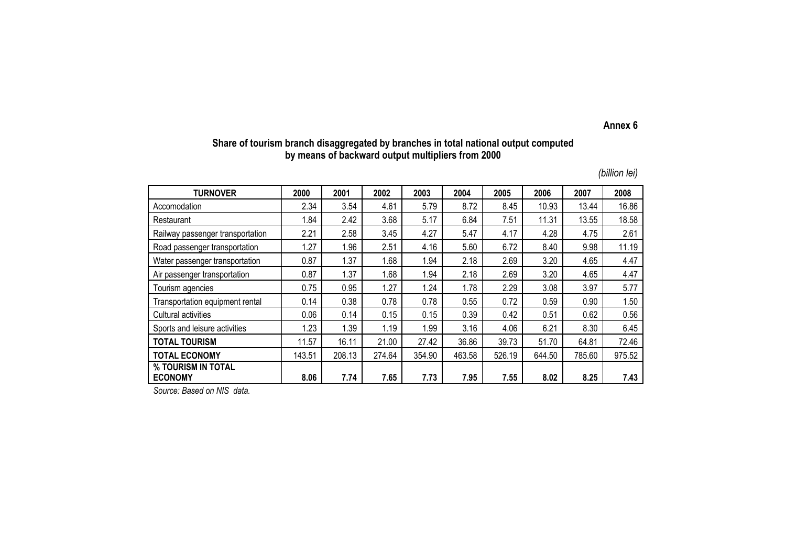#### **Annex 6**

## **Share of tourism branch disaggregated by branches in total national output computed by means of backward output multipliers from 2000**

| <b>TURNOVER</b>                      | 2000   | 2001   | 2002   | 2003        | 2004   | 2005   | 2006   | 2007   | 2008   |
|--------------------------------------|--------|--------|--------|-------------|--------|--------|--------|--------|--------|
| Accomodation                         | 2.34   | 3.54   | 4.61   | 5.79        | 8.72   | 8.45   | 10.93  | 13.44  | 16.86  |
| Restaurant                           | 84.ا   | 2.42   | 3.68   | 5.17        | 6.84   | 7.51   | 11.31  | 13.55  | 18.58  |
| Railway passenger transportation     | 2.21   | 2.58   | 3.45   | 4.27        | 5.47   | 4.17   | 4.28   | 4.75   | 2.61   |
| Road passenger transportation        | .27    | 1.96   | 2.51   | 4.16        | 5.60   | 6.72   | 8.40   | 9.98   | 11.19  |
| Water passenger transportation       | 0.87   | 1.37   | 1.68   | 1.94        | 2.18   | 2.69   | 3.20   | 4.65   | 4.47   |
| Air passenger transportation         | 0.87   | 1.37   | 1.68   | 1.94        | 2.18   | 2.69   | 3.20   | 4.65   | 4.47   |
| Tourism agencies                     | 0.75   | 0.95   | 1.27   | 1.24        | 1.78   | 2.29   | 3.08   | 3.97   | 5.77   |
| Transportation equipment rental      | 0.14   | 0.38   | 0.78   | 0.78        | 0.55   | 0.72   | 0.59   | 0.90   | 1.50   |
| Cultural activities                  | 0.06   | 0.14   | 0.15   | 0.15        | 0.39   | 0.42   | 0.51   | 0.62   | 0.56   |
| Sports and leisure activities        | .23    | 1.39   | 1.19   | <b>1.99</b> | 3.16   | 4.06   | 6.21   | 8.30   | 6.45   |
| <b>TOTAL TOURISM</b>                 | 11.57  | 16.11  | 21.00  | 27.42       | 36.86  | 39.73  | 51.70  | 64.81  | 72.46  |
| <b>TOTAL ECONOMY</b>                 | 143.51 | 208.13 | 274.64 | 354.90      | 463.58 | 526.19 | 644.50 | 785.60 | 975.52 |
| % TOURISM IN TOTAL<br><b>ECONOMY</b> | 8.06   | 7.74   | 7.65   | 7.73        | 7.95   | 7.55   | 8.02   | 8.25   | 7.43   |

*Source: Based on NIS data.*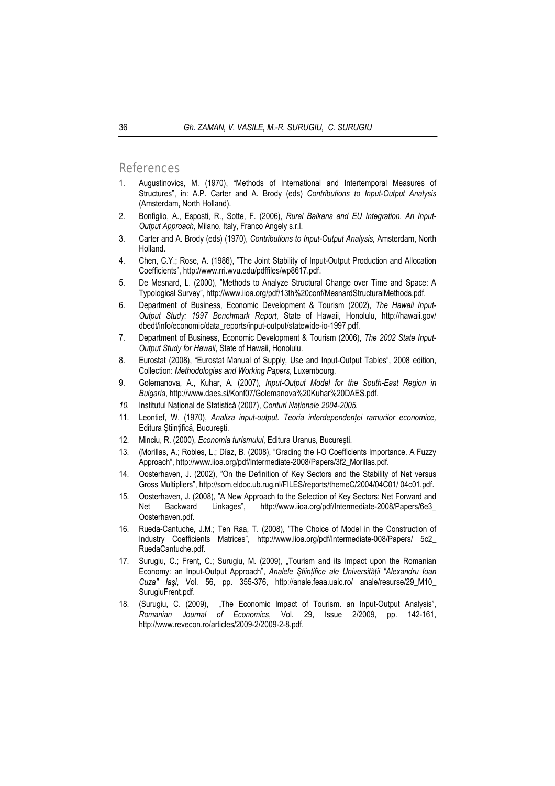## References

- 1. Augustinovics, M. (1970), "Methods of International and Intertemporal Measures of Structures", in: A.P. Carter and A. Brody (eds) *Contributions to Input-Output Analysis*  (Amsterdam, North Holland).
- 2. Bonfiglio, A., Esposti, R., Sotte, F. (2006), *Rural Balkans and EU Integration. An Input-Output Approach*, Milano, Italy, Franco Angely s.r.l.
- 3. Carter and A. Brody (eds) (1970), *Contributions to Input-Output Analysis,* Amsterdam, North Holland.
- 4. Chen, C.Y.; Rose, A. (1986), "The Joint Stability of Input-Output Production and Allocation Coefficients", http://www.rri.wvu.edu/pdffiles/wp8617.pdf.
- 5. De Mesnard, L. (2000), "Methods to Analyze Structural Change over Time and Space: A Typological Survey", http://www.iioa.org/pdf/13th%20conf/MesnardStructuralMethods.pdf.
- 6. Department of Business, Economic Development & Tourism (2002), *The Hawaii Input-Output Study: 1997 Benchmark Report*, State of Hawaii, Honolulu, http://hawaii.gov/ dbedt/info/economic/data\_reports/input-output/statewide-io-1997.pdf.
- 7. Department of Business, Economic Development & Tourism (2006), *The 2002 State Input-Output Study for Hawaii*, State of Hawaii, Honolulu.
- 8. Eurostat (2008), "Eurostat Manual of Supply*,* Use and Input-Output Tables", 2008 edition, Collection: *Methodologies and Working Papers*, Luxembourg.
- 9. Golemanova, A., Kuhar, A. (2007), *Input-Output Model for the South-East Region in Bulgaria*, http://www.daes.si/Konf07/Golemanova%20Kuhar%20DAES.pdf.
- *10.* Institutul Naţional de Statistică (2007), *Conturi Naţionale 2004-2005.*
- 11. Leontief, W. (1970), *Analiza input-output. Teoria interdependentei ramurilor economice*, Editura Stiintifică, București.
- 12. Minciu, R. (2000), *Economia turismului*, Editura Uranus, Bucureşti.
- 13. (Morillas, A.; Robles, L.; Díaz, B. (2008), "Grading the I-O Coefficients Importance. A Fuzzy Approach", http://www.iioa.org/pdf/Intermediate-2008/Papers/3f2\_Morillas.pdf.
- 14. Oosterhaven, J. (2002), "On the Definition of Key Sectors and the Stability of Net versus Gross Multipliers", http://som.eldoc.ub.rug.nl/FILES/reports/themeC/2004/04C01/ 04c01.pdf.
- 15. Oosterhaven, J. (2008), "A New Approach to the Selection of Key Sectors: Net Forward and Net Backward Linkages", http://www.iioa.org/pdf/Intermediate-2008/Papers/6e3\_ Oosterhaven.pdf.
- 16. Rueda-Cantuche, J.M.; Ten Raa, T. (2008), "The Choice of Model in the Construction of Industry Coefficients Matrices", http://www.iioa.org/pdf/Intermediate-008/Papers/ 5c2 RuedaCantuche.pdf.
- 17. Surugiu, C.; Frent, C.; Surugiu, M. (2009), "Tourism and its Impact upon the Romanian Economy: an Input-Output Approach", *Analele Ştiinţifice ale Universităţii "Alexandru Ioan Cuza" Iaşi*, Vol. 56, pp. 355-376, http://anale.feaa.uaic.ro/ anale/resurse/29\_M10\_ SurugiuFrent.pdf.
- 18. (Surugiu, C. (2009), "The Economic Impact of Tourism. an Input-Output Analysis", *Romanian Journal of Economics*, Vol. 29, Issue 2/2009, pp. 142-161, http://www.revecon.ro/articles/2009-2/2009-2-8.pdf.